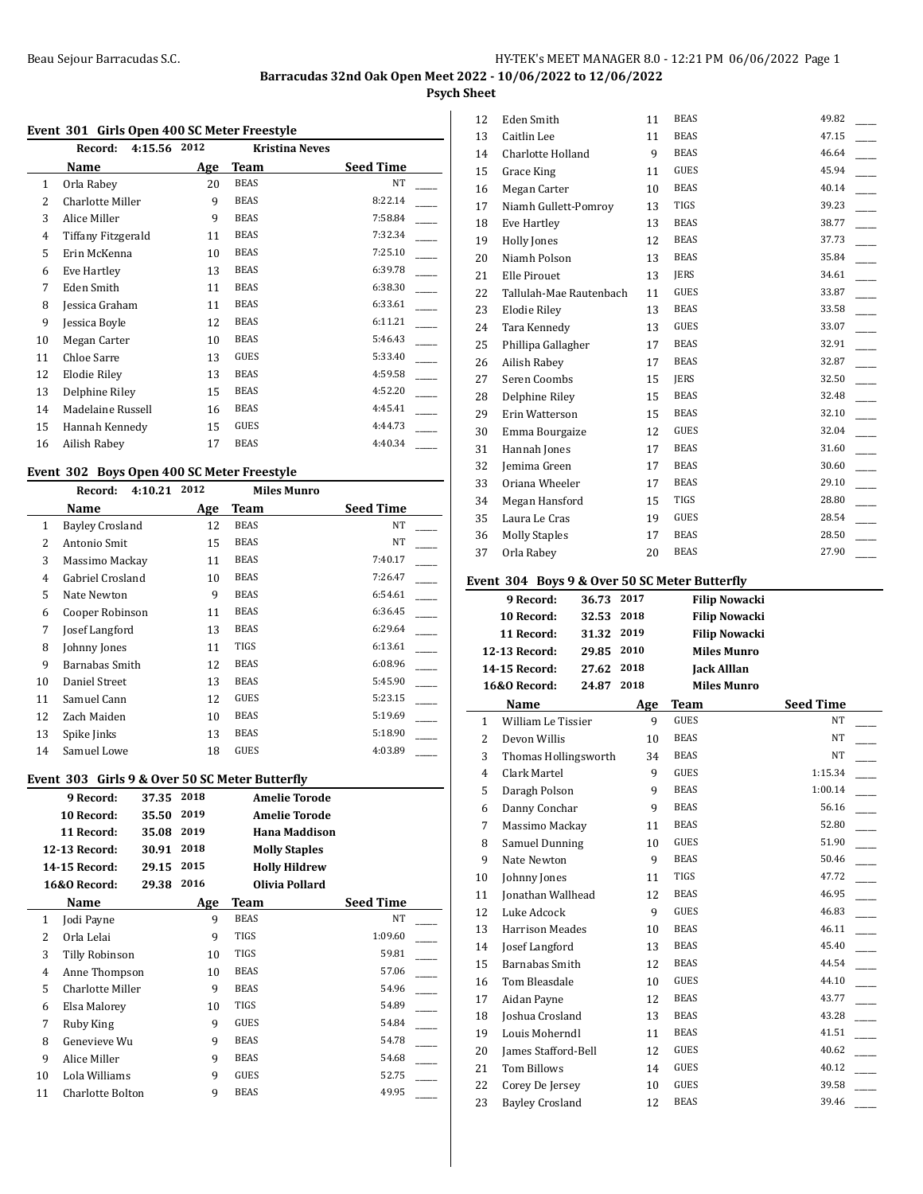## **Psych Sheet**

#### **Event 301 Girls Open 400 SC Meter Freestyle**

|    | Record:<br>4:15.56 | 2012 | <b>Kristina Neves</b> |                  |
|----|--------------------|------|-----------------------|------------------|
|    | Name               | Age  | Team                  | <b>Seed Time</b> |
| 1  | Orla Rabey         | 20   | <b>BEAS</b>           | NT               |
| 2  | Charlotte Miller   | 9    | <b>BEAS</b>           | 8:22.14          |
| 3  | Alice Miller       | 9    | <b>BEAS</b>           | 7:58.84          |
| 4  | Tiffany Fitzgerald | 11   | <b>BEAS</b>           | 7:32.34          |
| 5  | Erin McKenna       | 10   | <b>BEAS</b>           | 7:25.10          |
| 6  | Eve Hartley        | 13   | <b>BEAS</b>           | 6:39.78          |
| 7  | Eden Smith         | 11   | <b>BEAS</b>           | 6:38.30          |
| 8  | Jessica Graham     | 11   | <b>BEAS</b>           | 6:33.61          |
| 9  | Jessica Boyle      | 12   | <b>BEAS</b>           | 6:11.21          |
| 10 | Megan Carter       | 10   | <b>BEAS</b>           | 5:46.43          |
| 11 | Chloe Sarre        | 13   | <b>GUES</b>           | 5:33.40          |
| 12 | Elodie Riley       | 13   | <b>BEAS</b>           | 4:59.58          |
| 13 | Delphine Riley     | 15   | <b>BEAS</b>           | 4:52.20          |
| 14 | Madelaine Russell  | 16   | <b>BEAS</b>           | 4:45.41          |
| 15 | Hannah Kennedy     | 15   | GUES                  | 4:44.73          |
| 16 | Ailish Rabey       | 17   | <b>BEAS</b>           | 4:40.34          |
|    |                    |      |                       |                  |

#### **Event 302 Boys Open 400 SC Meter Freestyle**

|    | Record:<br>4:10.21     | 2012 | <b>Miles Munro</b> |                  |
|----|------------------------|------|--------------------|------------------|
|    | Name                   | Age  | Team               | <b>Seed Time</b> |
| 1  | <b>Bayley Crosland</b> | 12   | <b>BEAS</b>        | NT               |
| 2  | Antonio Smit           | 15   | <b>BEAS</b>        | NT               |
| 3  | Massimo Mackay         | 11   | <b>BEAS</b>        | 7:40.17          |
| 4  | Gabriel Crosland       | 10   | <b>BEAS</b>        | 7:26.47          |
| 5  | Nate Newton            | 9    | <b>BEAS</b>        | 6:54.61          |
| 6  | Cooper Robinson        | 11   | <b>BEAS</b>        | 6:36.45          |
| 7  | Josef Langford         | 13   | <b>BEAS</b>        | 6:29.64          |
| 8  | Johnny Jones           | 11   | <b>TIGS</b>        | 6:13.61          |
| 9  | Barnabas Smith         | 12   | <b>BEAS</b>        | 6:08.96          |
| 10 | Daniel Street          | 13   | <b>BEAS</b>        | 5:45.90          |
| 11 | Samuel Cann            | 12   | <b>GUES</b>        | 5:23.15          |
| 12 | Zach Maiden            | 10   | <b>BEAS</b>        | 5:19.69          |
| 13 | Spike Jinks            | 13   | <b>BEAS</b>        | 5:18.90          |
| 14 | Samuel Lowe            | 18   | GUES               | 4:03.89          |

#### **Event 303 Girls 9 & Over 50 SC Meter Butterfly**

|    | 9 Record:               | 37.35 | 2018 |             | <b>Amelie Torode</b> |                  |  |
|----|-------------------------|-------|------|-------------|----------------------|------------------|--|
|    | 10 Record:              | 35.50 | 2019 |             | <b>Amelie Torode</b> |                  |  |
|    | 11 Record:              | 35.08 | 2019 |             | Hana Maddison        |                  |  |
|    | <b>12-13 Record:</b>    | 30.91 | 2018 |             | <b>Molly Staples</b> |                  |  |
|    | <b>14-15 Record:</b>    | 29.15 | 2015 |             | <b>Holly Hildrew</b> |                  |  |
|    | <b>16&amp;0 Record:</b> | 29.38 | 2016 |             | Olivia Pollard       |                  |  |
|    | Name                    |       | Age  | Team        |                      | <b>Seed Time</b> |  |
| 1  | Jodi Payne              |       | 9    | <b>BEAS</b> |                      | NT               |  |
| 2  | Orla Lelai              |       | 9    | TIGS        |                      | 1:09.60          |  |
| 3  | Tilly Robinson          |       | 10   | <b>TIGS</b> |                      | 59.81            |  |
| 4  | Anne Thompson           |       | 10   | <b>BEAS</b> |                      | 57.06            |  |
| 5  | Charlotte Miller        |       | 9    | <b>BEAS</b> |                      | 54.96            |  |
| 6  | Elsa Malorey            |       | 10   | <b>TIGS</b> |                      | 54.89            |  |
| 7  | Ruby King               |       | 9    | <b>GUES</b> |                      | 54.84            |  |
| 8  | Genevieve Wu            |       | 9    | <b>BEAS</b> |                      | 54.78            |  |
| 9  | Alice Miller            |       | 9    | <b>BEAS</b> |                      | 54.68            |  |
| 10 | Lola Williams           |       | 9    | <b>GUES</b> |                      | 52.75            |  |
| 11 | Charlotte Bolton        |       | 9    | <b>BEAS</b> |                      | 49.95            |  |

| 12 | Eden Smith              | 11 | <b>BEAS</b> | 49.82 |
|----|-------------------------|----|-------------|-------|
| 13 | Caitlin Lee             | 11 | <b>BEAS</b> | 47.15 |
| 14 | Charlotte Holland       | 9  | <b>BEAS</b> | 46.64 |
| 15 | Grace King              | 11 | <b>GUES</b> | 45.94 |
| 16 | Megan Carter            | 10 | <b>BEAS</b> | 40.14 |
| 17 | Niamh Gullett-Pomrov    | 13 | TIGS        | 39.23 |
| 18 | Eve Hartley             | 13 | <b>BEAS</b> | 38.77 |
| 19 | Holly Jones             | 12 | <b>BEAS</b> | 37.73 |
| 20 | Niamh Polson            | 13 | <b>BEAS</b> | 35.84 |
| 21 | <b>Elle Pirouet</b>     | 13 | <b>JERS</b> | 34.61 |
| 22 | Tallulah-Mae Rautenbach | 11 | GUES        | 33.87 |
| 23 | Elodie Riley            | 13 | <b>BEAS</b> | 33.58 |
| 24 | Tara Kennedy            | 13 | <b>GUES</b> | 33.07 |
| 25 | Phillipa Gallagher      | 17 | <b>BEAS</b> | 32.91 |
| 26 | Ailish Rabey            | 17 | <b>BEAS</b> | 32.87 |
| 27 | Seren Coombs            | 15 | <b>JERS</b> | 32.50 |
| 28 | Delphine Riley          | 15 | <b>BEAS</b> | 32.48 |
| 29 | Erin Watterson          | 15 | <b>BEAS</b> | 32.10 |
| 30 | Emma Bourgaize          | 12 | <b>GUES</b> | 32.04 |
| 31 | Hannah Jones            | 17 | <b>BEAS</b> | 31.60 |
| 32 | Jemima Green            | 17 | <b>BEAS</b> | 30.60 |
| 33 | Oriana Wheeler          | 17 | <b>BEAS</b> | 29.10 |
| 34 | Megan Hansford          | 15 | TIGS        | 28.80 |
| 35 | Laura Le Cras           | 19 | <b>GUES</b> | 28.54 |
| 36 | <b>Molly Staples</b>    | 17 | <b>BEAS</b> | 28.50 |
| 37 | Orla Rabey              | 20 | <b>BEAS</b> | 27.90 |

|              | Event 304 Boys 9 & Over 50 SC Meter Butterfly |            |      |             |                      |                  |  |
|--------------|-----------------------------------------------|------------|------|-------------|----------------------|------------------|--|
|              | 9 Record:                                     | 36.73      | 2017 |             | <b>Filip Nowacki</b> |                  |  |
|              | 10 Record:                                    | 32.53      | 2018 |             | <b>Filip Nowacki</b> |                  |  |
|              | 11 Record:                                    | 31.32 2019 |      |             | <b>Filip Nowacki</b> |                  |  |
|              | 12-13 Record:                                 | 29.85 2010 |      |             | <b>Miles Munro</b>   |                  |  |
|              | 14-15 Record:                                 | 27.62 2018 |      |             | <b>Jack Alllan</b>   |                  |  |
|              | 16&0 Record:                                  | 24.87      | 2018 |             | <b>Miles Munro</b>   |                  |  |
|              | Name                                          |            | Age  | <b>Team</b> |                      | <b>Seed Time</b> |  |
| $\mathbf{1}$ | William Le Tissier                            |            | 9    | <b>GUES</b> |                      | NT               |  |
| 2            | Devon Willis                                  |            | 10   | <b>BEAS</b> |                      | <b>NT</b>        |  |
| 3            | Thomas Hollingsworth                          |            | 34   | <b>BEAS</b> |                      | <b>NT</b>        |  |
| 4            | Clark Martel                                  |            | 9    | <b>GUES</b> |                      | 1:15.34          |  |
| 5            | Daragh Polson                                 |            | 9    | <b>BEAS</b> |                      | 1:00.14          |  |
| 6            | Danny Conchar                                 |            | 9    | <b>BEAS</b> |                      | 56.16            |  |
| 7            | Massimo Mackay                                |            | 11   | <b>BEAS</b> |                      | 52.80            |  |
| 8            | Samuel Dunning                                |            | 10   | <b>GUES</b> |                      | 51.90            |  |
| 9            | Nate Newton                                   |            | 9    | <b>BEAS</b> |                      | 50.46            |  |
| 10           | Johnny Jones                                  |            | 11   | <b>TIGS</b> |                      | 47.72            |  |
| 11           | <b>Ionathan Wallhead</b>                      |            | 12   | <b>BEAS</b> |                      | 46.95            |  |
| 12           | Luke Adcock                                   |            | 9    | <b>GUES</b> |                      | 46.83            |  |
| 13           | <b>Harrison Meades</b>                        |            | 10   | <b>BEAS</b> |                      | 46.11            |  |
| 14           | Josef Langford                                |            | 13   | <b>BEAS</b> |                      | 45.40            |  |
| 15           | Barnabas Smith                                |            | 12   | <b>BEAS</b> |                      | 44.54            |  |
| 16           | Tom Bleasdale                                 |            | 10   | <b>GUES</b> |                      | 44.10            |  |
| 17           | Aidan Payne                                   |            | 12   | <b>BEAS</b> |                      | 43.77            |  |
| 18           | Joshua Crosland                               |            | 13   | <b>BEAS</b> |                      | 43.28            |  |
| 19           | Louis Moherndl                                |            | 11   | <b>BEAS</b> |                      | 41.51            |  |
| 20           | <b>James Stafford-Bell</b>                    |            | 12   | <b>GUES</b> |                      | 40.62            |  |
| 21           | <b>Tom Billows</b>                            |            | 14   | <b>GUES</b> |                      | 40.12            |  |
| 22           | Corey De Jersey                               |            | 10   | <b>GUES</b> |                      | 39.58            |  |

23 Bayley Crosland 12 BEAS 39.46 \_\_\_\_\_\_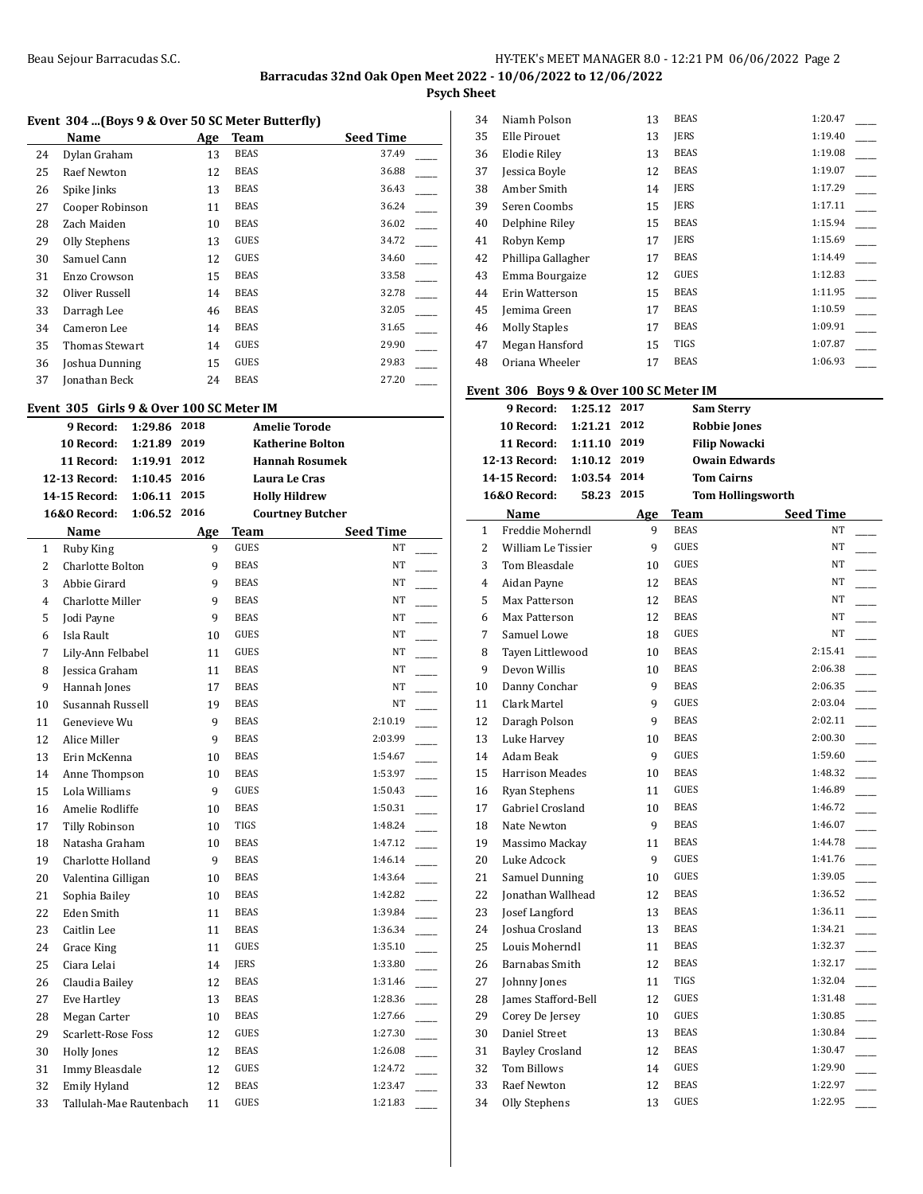**Psych Sheet**

## **Event 304 ...(Boys 9 & Over 50 SC Meter Butterfly)**

|    | Name               | Age | Team        | <b>Seed Time</b> |
|----|--------------------|-----|-------------|------------------|
| 24 | Dylan Graham       | 13  | <b>BEAS</b> | 37.49            |
| 25 | <b>Raef Newton</b> | 12  | <b>BEAS</b> | 36.88            |
| 26 | Spike Jinks        | 13  | <b>BEAS</b> | 36.43            |
| 27 | Cooper Robinson    | 11  | <b>BEAS</b> | 36.24            |
| 28 | Zach Maiden        | 10  | <b>BEAS</b> | 36.02            |
| 29 | Olly Stephens      | 13  | GUES        | 34.72            |
| 30 | Samuel Cann        | 12  | <b>GUES</b> | 34.60            |
| 31 | Enzo Crowson       | 15  | <b>BEAS</b> | 33.58            |
| 32 | Oliver Russell     | 14  | <b>BEAS</b> | 32.78            |
| 33 | Darragh Lee        | 46  | <b>BEAS</b> | 32.05            |
| 34 | Cameron Lee        | 14  | <b>BEAS</b> | 31.65            |
| 35 | Thomas Stewart     | 14  | GUES        | 29.90            |
| 36 | Joshua Dunning     | 15  | GUES        | 29.83            |
| 37 | onathan Beck       | 24  | <b>BEAS</b> | 27.20            |

## **Event 305 Girls 9 & Over 100 SC Meter IM**

|                | 9 Record:               | 1:29.86 | 2018 |             | <b>Amelie Torode</b>    |  |
|----------------|-------------------------|---------|------|-------------|-------------------------|--|
|                | 10 Record:              | 1:21.89 | 2019 |             | <b>Katherine Bolton</b> |  |
|                | 11 Record:              | 1:19.91 | 2012 |             | <b>Hannah Rosumek</b>   |  |
|                | 12-13 Record:           | 1:10.45 | 2016 |             | Laura Le Cras           |  |
|                | 14-15 Record:           | 1:06.11 | 2015 |             | <b>Holly Hildrew</b>    |  |
|                | <b>16&amp;0 Record:</b> | 1:06.52 | 2016 |             | <b>Courtney Butcher</b> |  |
|                | Name                    |         | Age  | Team        | <b>Seed Time</b>        |  |
| $\mathbf{1}$   | Ruby King               |         | 9    | <b>GUES</b> | NT                      |  |
| $\overline{2}$ | Charlotte Bolton        |         | 9    | <b>BEAS</b> | <b>NT</b>               |  |
| 3              | Abbie Girard            |         | 9    | <b>BEAS</b> | NT                      |  |
| 4              | <b>Charlotte Miller</b> |         | 9    | <b>BEAS</b> | NT                      |  |
| 5              | Jodi Payne              |         | 9    | <b>BEAS</b> | NT                      |  |
| 6              | Isla Rault              |         | 10   | <b>GUES</b> | NT                      |  |
| 7              | Lily-Ann Felbabel       |         | 11   | <b>GUES</b> | NT                      |  |
| 8              | Jessica Graham          |         | 11   | <b>BEAS</b> | NT                      |  |
| 9              | Hannah Jones            |         | 17   | <b>BEAS</b> | NT                      |  |
| 10             | Susannah Russell        |         | 19   | <b>BEAS</b> | NT                      |  |
| 11             | Genevieve Wu            |         | 9    | <b>BEAS</b> | 2:10.19                 |  |
| 12             | Alice Miller            |         | 9    | <b>BEAS</b> | 2:03.99                 |  |
| 13             | Erin McKenna            |         | 10   | <b>BEAS</b> | 1:54.67                 |  |
| 14             | Anne Thompson           |         | 10   | <b>BEAS</b> | 1:53.97                 |  |
| 15             | Lola Williams           |         | 9    | <b>GUES</b> | 1:50.43                 |  |
| 16             | Amelie Rodliffe         |         | 10   | <b>BEAS</b> | 1:50.31                 |  |
| 17             | <b>Tilly Robinson</b>   |         | 10   | <b>TIGS</b> | 1:48.24                 |  |
| 18             | Natasha Graham          |         | 10   | <b>BEAS</b> | 1:47.12                 |  |
| 19             | Charlotte Holland       |         | 9    | <b>BEAS</b> | 1:46.14                 |  |
| 20             | Valentina Gilligan      |         | 10   | <b>BEAS</b> | 1:43.64                 |  |
| 21             | Sophia Bailey           |         | 10   | <b>BEAS</b> | 1:42.82                 |  |
| 22             | <b>Eden Smith</b>       |         | 11   | <b>BEAS</b> | 1:39.84                 |  |
| 23             | Caitlin Lee             |         | 11   | <b>BEAS</b> | 1:36.34                 |  |
| 24             | Grace King              |         | 11   | <b>GUES</b> | 1:35.10                 |  |
| 25             | Ciara Lelai             |         | 14   | <b>IERS</b> | 1:33.80                 |  |
| 26             | Claudia Bailey          |         | 12   | <b>BEAS</b> | 1:31.46                 |  |
| 27             | Eve Hartley             |         | 13   | <b>BEAS</b> | 1:28.36                 |  |
| 28             | Megan Carter            |         | 10   | <b>BEAS</b> | 1:27.66                 |  |
| 29             | Scarlett-Rose Foss      |         | 12   | <b>GUES</b> | 1:27.30                 |  |
| 30             | <b>Holly Jones</b>      |         | 12   | <b>BEAS</b> | 1:26.08                 |  |
| 31             | Immy Bleasdale          |         | 12   | <b>GUES</b> | 1:24.72                 |  |
| 32             | <b>Emily Hyland</b>     |         | 12   | <b>BEAS</b> | 1:23.47                 |  |
| 33             | Tallulah-Mae Rautenbach |         | 11   | <b>GUES</b> | 1:21.83                 |  |

| 34 | Niamh Polson         | 13 | <b>BEAS</b> | 1:20.47 |  |
|----|----------------------|----|-------------|---------|--|
| 35 | Elle Pirouet         | 13 | <b>IERS</b> | 1:19.40 |  |
| 36 | Elodie Riley         | 13 | <b>BEAS</b> | 1:19.08 |  |
| 37 | Jessica Boyle        | 12 | <b>BEAS</b> | 1:19.07 |  |
| 38 | Amber Smith          | 14 | <b>IERS</b> | 1:17.29 |  |
| 39 | Seren Coombs         | 15 | <b>IERS</b> | 1:17.11 |  |
| 40 | Delphine Riley       | 15 | <b>BEAS</b> | 1:15.94 |  |
| 41 | Robyn Kemp           | 17 | <b>IERS</b> | 1:15.69 |  |
| 42 | Phillipa Gallagher   | 17 | <b>BEAS</b> | 1:14.49 |  |
| 43 | Emma Bourgaize       | 12 | GUES        | 1:12.83 |  |
| 44 | Erin Watterson       | 15 | <b>BEAS</b> | 1:11.95 |  |
| 45 | Jemima Green         | 17 | <b>BEAS</b> | 1:10.59 |  |
| 46 | <b>Molly Staples</b> | 17 | <b>BEAS</b> | 1:09.91 |  |
| 47 | Megan Hansford       | 15 | <b>TIGS</b> | 1:07.87 |  |
| 48 | Oriana Wheeler       | 17 | <b>BEAS</b> | 1:06.93 |  |
|    |                      |    |             |         |  |

## **Event 306 Boys 9 & Over 100 SC Meter IM**

|                | 9 Record:              | 1:25.12 | 2017 |             | <b>Sam Sterry</b>        |  |
|----------------|------------------------|---------|------|-------------|--------------------------|--|
|                | 10 Record:             | 1:21.21 | 2012 |             | <b>Robbie Jones</b>      |  |
|                | 11 Record:             | 1:11.10 | 2019 |             | <b>Filip Nowacki</b>     |  |
|                | 12-13 Record:          | 1:10.12 | 2019 |             | <b>Owain Edwards</b>     |  |
|                | 14-15 Record:          | 1:03.54 | 2014 |             | <b>Tom Cairns</b>        |  |
|                | 16&0 Record:           | 58.23   | 2015 |             | <b>Tom Hollingsworth</b> |  |
|                | Name                   |         | Age  | Team        | <b>Seed Time</b>         |  |
| $\mathbf{1}$   | Freddie Moherndl       |         | 9    | <b>BEAS</b> | <b>NT</b>                |  |
| 2              | William Le Tissier     |         | 9    | <b>GUES</b> | NT.                      |  |
| 3              | Tom Bleasdale          |         | 10   | <b>GUES</b> | NT                       |  |
| $\overline{4}$ | Aidan Payne            |         | 12   | <b>BEAS</b> | <b>NT</b>                |  |
| 5              | Max Patterson          |         | 12   | <b>BEAS</b> | NT                       |  |
| 6              | Max Patterson          |         | 12   | <b>BEAS</b> | NT                       |  |
| 7              | Samuel Lowe            |         | 18   | <b>GUES</b> | NT.                      |  |
| 8              | Tayen Littlewood       |         | 10   | <b>BEAS</b> | 2:15.41                  |  |
| 9              | Devon Willis           |         | 10   | <b>BEAS</b> | 2:06.38                  |  |
| 10             | Danny Conchar          |         | 9    | <b>BEAS</b> | 2:06.35                  |  |
| 11             | Clark Martel           |         | 9    | <b>GUES</b> | 2:03.04                  |  |
| 12             | Daragh Polson          |         | 9    | <b>BEAS</b> | 2:02.11                  |  |
| 13             | Luke Harvey            |         | 10   | <b>BEAS</b> | 2:00.30                  |  |
| 14             | Adam Beak              |         | 9    | GUES        | 1:59.60                  |  |
| 15             | <b>Harrison Meades</b> |         | 10   | <b>BEAS</b> | 1:48.32                  |  |
| 16             | <b>Ryan Stephens</b>   |         | 11   | <b>GUES</b> | 1:46.89                  |  |
| 17             | Gabriel Crosland       |         | 10   | <b>BEAS</b> | 1:46.72                  |  |
| 18             | Nate Newton            |         | 9    | <b>BEAS</b> | 1:46.07                  |  |
| 19             | Massimo Mackay         |         | 11   | <b>BEAS</b> | 1:44.78                  |  |
| 20             | Luke Adcock            |         | 9    | <b>GUES</b> | 1:41.76                  |  |
| 21             | Samuel Dunning         |         | 10   | <b>GUES</b> | 1:39.05                  |  |
| 22             | Jonathan Wallhead      |         | 12   | <b>BEAS</b> | 1:36.52                  |  |
| 23             | Josef Langford         |         | 13   | <b>BEAS</b> | 1:36.11                  |  |
| 24             | Joshua Crosland        |         | 13   | <b>BEAS</b> | 1:34.21                  |  |
| 25             | Louis Moherndl         |         | 11   | <b>BEAS</b> | 1:32.37                  |  |
| 26             | <b>Barnabas Smith</b>  |         | 12   | <b>BEAS</b> | 1:32.17                  |  |
| 27             | Johnny Jones           |         | 11   | <b>TIGS</b> | 1:32.04                  |  |
| 28             | James Stafford-Bell    |         | 12   | <b>GUES</b> | 1:31.48                  |  |
| 29             | Corey De Jersey        |         | 10   | <b>GUES</b> | 1:30.85                  |  |
| 30             | Daniel Street          |         | 13   | <b>BEAS</b> | 1:30.84                  |  |
| 31             | <b>Bayley Crosland</b> |         | 12   | <b>BEAS</b> | 1:30.47                  |  |
| 32             | <b>Tom Billows</b>     |         | 14   | <b>GUES</b> | 1:29.90                  |  |
| 33             | <b>Raef Newton</b>     |         | 12   | <b>BEAS</b> | 1:22.97                  |  |
| 34             | Olly Stephens          |         | 13   | <b>GUES</b> | 1:22.95                  |  |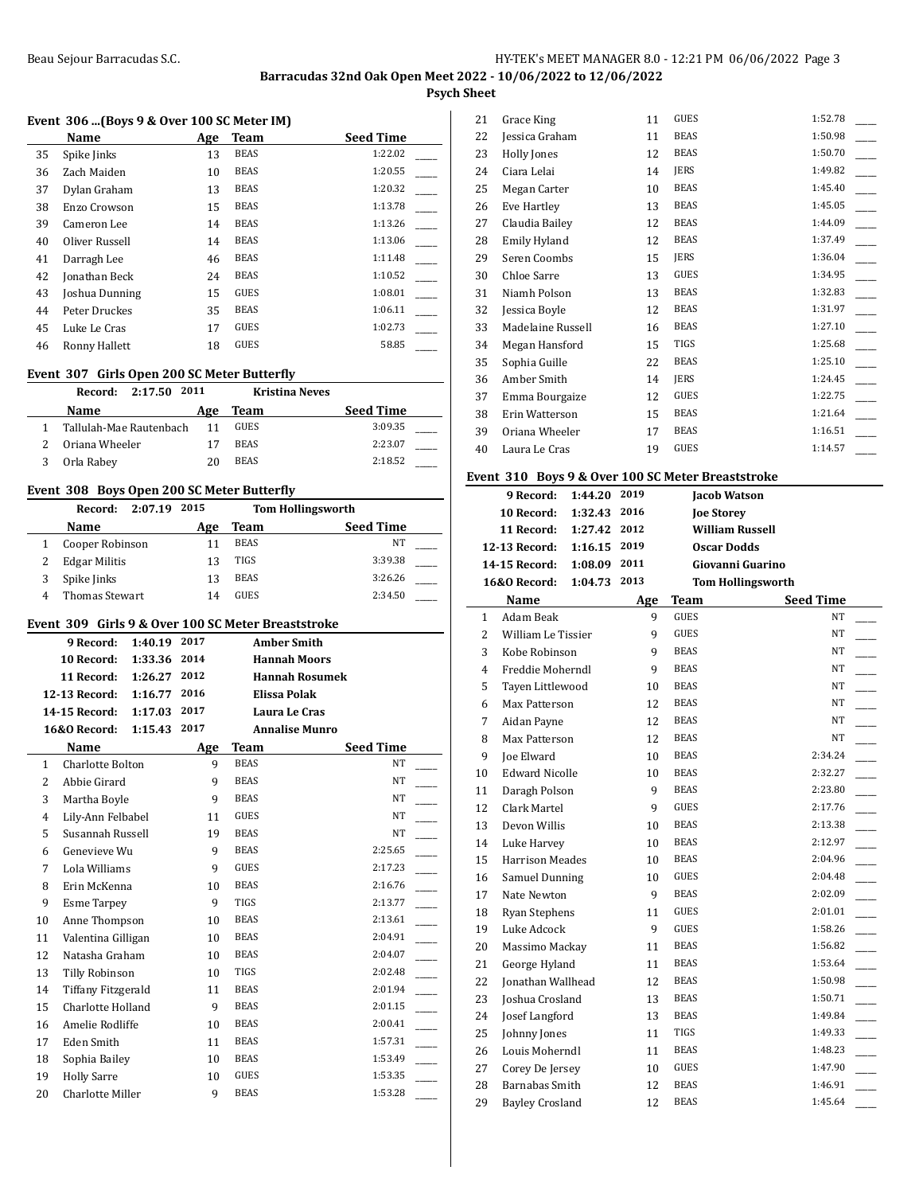**Psych Sheet**

 $\overline{a}$ 

## **Event 306 ...(Boys 9 & Over 100 SC Meter IM)**

| Name           | Age | <b>Team</b> | <b>Seed Time</b> |
|----------------|-----|-------------|------------------|
| Spike Jinks    | 13  | <b>BEAS</b> | 1:22.02          |
| Zach Maiden    | 10  | <b>BEAS</b> | 1:20.55          |
| Dylan Graham   | 13  | <b>BEAS</b> | 1:20.32          |
| Enzo Crowson   | 15  | <b>BEAS</b> | 1:13.78          |
| Cameron Lee    | 14  | <b>BEAS</b> | 1:13.26          |
| Oliver Russell | 14  | <b>BEAS</b> | 1:13.06          |
| Darragh Lee    | 46  | <b>BEAS</b> | 1:11.48          |
| Jonathan Beck  | 24  | <b>BEAS</b> | 1:10.52          |
| Joshua Dunning | 15  | <b>GUES</b> | 1:08.01          |
| Peter Druckes  | 35  | <b>BEAS</b> | 1:06.11          |
| Luke Le Cras   | 17  | <b>GUES</b> | 1:02.73          |
| Ronny Hallett  | 18  | <b>GUES</b> | 58.85            |
|                |     |             |                  |

#### **Event 307 Girls Open 200 SC Meter Butterfly**

| 2:17.50 2011<br>Record: |     |             | <b>Kristina Neves</b> |
|-------------------------|-----|-------------|-----------------------|
| Name                    | Age | Team        | <b>Seed Time</b>      |
| Tallulah-Mae Rautenbach | 11  | GUES        | 3:09.35               |
| Oriana Wheeler          |     | <b>BEAS</b> | 2:23.07               |
| Orla Rabey              | 20  | <b>BEAS</b> | 2:18.52               |

## **Event 308 Boys Open 200 SC Meter Butterfly**

| 2:07.19 2015<br>Record: |     |             | <b>Tom Hollingsworth</b> |  |
|-------------------------|-----|-------------|--------------------------|--|
| Name                    | Age | Team        | <b>Seed Time</b>         |  |
| Cooper Robinson         |     | <b>BEAS</b> | NΤ                       |  |
| <b>Edgar Militis</b>    | 13  | TIGS        | 3:39.38                  |  |
| Spike Jinks             | 13  | <b>BEAS</b> | 3:26.26                  |  |
| Thomas Stewart          | 14  | <b>GUES</b> | 2:34.50                  |  |

### **Event 309 Girls 9 & Over 100 SC Meter Breaststroke**

|                | 9 Record:                 | 1:40.19 | 2017 |             | <b>Amber Smith</b>    |  |
|----------------|---------------------------|---------|------|-------------|-----------------------|--|
|                | 10 Record:                | 1:33.36 | 2014 |             | <b>Hannah Moors</b>   |  |
|                | 11 Record:                | 1:26.27 | 2012 |             | <b>Hannah Rosumek</b> |  |
|                | 12-13 Record:             | 1:16.77 | 2016 |             | <b>Elissa Polak</b>   |  |
|                | 14-15 Record:             | 1:17.03 | 2017 |             | Laura Le Cras         |  |
|                | <b>16&amp;0 Record:</b>   | 1:15.43 | 2017 |             | <b>Annalise Munro</b> |  |
|                | Name                      |         | Age  | Team        | <b>Seed Time</b>      |  |
| $\mathbf{1}$   | Charlotte Bolton          |         | 9    | <b>BEAS</b> | NT                    |  |
| $\overline{2}$ | Abbie Girard              |         | 9    | <b>BEAS</b> | <b>NT</b>             |  |
| 3              | Martha Boyle              |         | 9    | <b>BEAS</b> | <b>NT</b>             |  |
| $\overline{4}$ | Lily-Ann Felbabel         |         | 11   | <b>GUES</b> | NT                    |  |
| 5              | Susannah Russell          |         | 19   | <b>BEAS</b> | <b>NT</b>             |  |
| 6              | Genevieve Wu              |         | 9    | <b>BEAS</b> | 2:25.65               |  |
| 7              | Lola Williams             |         | 9    | <b>GUES</b> | 2:17.23               |  |
| 8              | Erin McKenna              |         | 10   | <b>BEAS</b> | 2:16.76               |  |
| 9              | <b>Esme Tarpey</b>        |         | 9    | <b>TIGS</b> | 2:13.77               |  |
| 10             | Anne Thompson             |         | 10   | <b>BEAS</b> | 2:13.61               |  |
| 11             | Valentina Gilligan        |         | 10   | <b>BEAS</b> | 2:04.91               |  |
| 12             | Natasha Graham            |         | 10   | <b>BEAS</b> | 2:04.07               |  |
| 13             | <b>Tilly Robinson</b>     |         | 10   | TIGS        | 2:02.48               |  |
| 14             | <b>Tiffany Fitzgerald</b> |         | 11   | <b>BEAS</b> | 2:01.94               |  |
| 15             | Charlotte Holland         |         | 9    | <b>BEAS</b> | 2:01.15               |  |
| 16             | Amelie Rodliffe           |         | 10   | <b>BEAS</b> | 2:00.41               |  |
| 17             | <b>Eden Smith</b>         |         | 11   | <b>BEAS</b> | 1:57.31               |  |
| 18             | Sophia Bailey             |         | 10   | <b>BEAS</b> | 1:53.49               |  |
| 19             | <b>Holly Sarre</b>        |         | 10   | <b>GUES</b> | 1:53.35               |  |
| 20             | <b>Charlotte Miller</b>   |         | 9    | <b>BEAS</b> | 1:53.28               |  |

| 21 | Grace King          | 11 | <b>GUES</b> | 1:52.78 |
|----|---------------------|----|-------------|---------|
| 22 | Jessica Graham      | 11 | <b>BEAS</b> | 1:50.98 |
| 23 | Holly Jones         | 12 | <b>BEAS</b> | 1:50.70 |
| 24 | Ciara Lelai         | 14 | <b>JERS</b> | 1:49.82 |
| 25 | Megan Carter        | 10 | <b>BEAS</b> | 1:45.40 |
| 26 | Eve Hartley         | 13 | <b>BEAS</b> | 1:45.05 |
| 27 | Claudia Bailey      | 12 | <b>BEAS</b> | 1:44.09 |
| 28 | <b>Emily Hyland</b> | 12 | <b>BEAS</b> | 1:37.49 |
| 29 | Seren Coombs        | 15 | <b>JERS</b> | 1:36.04 |
| 30 | Chloe Sarre         | 13 | <b>GUES</b> | 1:34.95 |
| 31 | Niamh Polson        | 13 | <b>BEAS</b> | 1:32.83 |
| 32 | Jessica Boyle       | 12 | <b>BEAS</b> | 1:31.97 |
| 33 | Madelaine Russell   | 16 | <b>BEAS</b> | 1:27.10 |
| 34 | Megan Hansford      | 15 | TIGS        | 1:25.68 |
| 35 | Sophia Guille       | 22 | <b>BEAS</b> | 1:25.10 |
| 36 | Amber Smith         | 14 | <b>JERS</b> | 1:24.45 |
| 37 | Emma Bourgaize      | 12 | GUES        | 1:22.75 |
| 38 | Erin Watterson      | 15 | <b>BEAS</b> | 1:21.64 |
| 39 | Oriana Wheeler      | 17 | <b>BEAS</b> | 1:16.51 |
| 40 | Laura Le Cras       | 19 | <b>GUES</b> | 1:14.57 |

## **Event 310 Boys 9 & Over 100 SC Meter Breaststroke**

|              | vent 310 Doys 9 & Over 100 3G Meter Dreastströße<br>9 Record: | 1:44.20 2019 |      |             | <b>Jacob Watson</b>      |  |
|--------------|---------------------------------------------------------------|--------------|------|-------------|--------------------------|--|
|              | 10 Record:                                                    | 1:32.43      | 2016 |             | <b>Joe Storey</b>        |  |
|              | 11 Record:                                                    | 1:27.42 2012 |      |             | <b>William Russell</b>   |  |
|              | 12-13 Record:                                                 | 1:16.15 2019 |      |             | <b>Oscar Dodds</b>       |  |
|              | 14-15 Record:                                                 | 1:08.09 2011 |      |             | Giovanni Guarino         |  |
|              | 16&0 Record:                                                  | 1:04.73      | 2013 |             | <b>Tom Hollingsworth</b> |  |
|              | Name                                                          |              | Age  | Team        | <b>Seed Time</b>         |  |
| $\mathbf{1}$ | Adam Beak                                                     |              | 9    | <b>GUES</b> | NT                       |  |
| 2            | William Le Tissier                                            |              | 9    | <b>GUES</b> | NT                       |  |
| 3            | Kobe Robinson                                                 |              | 9    | <b>BEAS</b> | NT                       |  |
| 4            | Freddie Moherndl                                              |              | 9    | <b>BEAS</b> | NT                       |  |
| 5            | Tayen Littlewood                                              |              | 10   | <b>BEAS</b> | <b>NT</b>                |  |
| 6            | Max Patterson                                                 |              | 12   | <b>BEAS</b> | <b>NT</b>                |  |
| 7            | Aidan Payne                                                   |              | 12   | <b>BEAS</b> | <b>NT</b>                |  |
| 8            | Max Patterson                                                 |              | 12   | <b>BEAS</b> | <b>NT</b>                |  |
| 9            | <b>Joe Elward</b>                                             |              | 10   | <b>BEAS</b> | 2:34.24                  |  |
| 10           | <b>Edward Nicolle</b>                                         |              | 10   | <b>BEAS</b> | 2:32.27                  |  |
| 11           | Daragh Polson                                                 |              | 9    | <b>BEAS</b> | 2:23.80                  |  |
| 12           | Clark Martel                                                  |              | 9    | <b>GUES</b> | 2:17.76                  |  |
| 13           | Devon Willis                                                  |              | 10   | <b>BEAS</b> | 2:13.38                  |  |
| 14           | Luke Harvey                                                   |              | 10   | <b>BEAS</b> | 2:12.97                  |  |
| 15           | <b>Harrison Meades</b>                                        |              | 10   | <b>BEAS</b> | 2:04.96                  |  |
| 16           | Samuel Dunning                                                |              | 10   | <b>GUES</b> | 2:04.48                  |  |
| 17           | Nate Newton                                                   |              | 9    | <b>BEAS</b> | 2:02.09                  |  |
| 18           | Ryan Stephens                                                 |              | 11   | <b>GUES</b> | 2:01.01                  |  |
| 19           | Luke Adcock                                                   |              | 9    | <b>GUES</b> | 1:58.26                  |  |
| 20           | Massimo Mackay                                                |              | 11   | <b>BEAS</b> | 1:56.82                  |  |
| 21           | George Hyland                                                 |              | 11   | <b>BEAS</b> | 1:53.64                  |  |
| 22           | Jonathan Wallhead                                             |              | 12   | <b>BEAS</b> | 1:50.98                  |  |
| 23           | Joshua Crosland                                               |              | 13   | <b>BEAS</b> | 1:50.71                  |  |
| 24           | Josef Langford                                                |              | 13   | <b>BEAS</b> | 1:49.84                  |  |
| 25           | Johnny Jones                                                  |              | 11   | <b>TIGS</b> | 1:49.33                  |  |
| 26           | Louis Moherndl                                                |              | 11   | <b>BEAS</b> | 1:48.23                  |  |
| 27           | Corey De Jersey                                               |              | 10   | <b>GUES</b> | 1:47.90                  |  |
| 28           | Barnabas Smith                                                |              | 12   | <b>BEAS</b> | 1:46.91                  |  |
| 29           | <b>Bayley Crosland</b>                                        |              | 12   | <b>BEAS</b> | 1:45.64                  |  |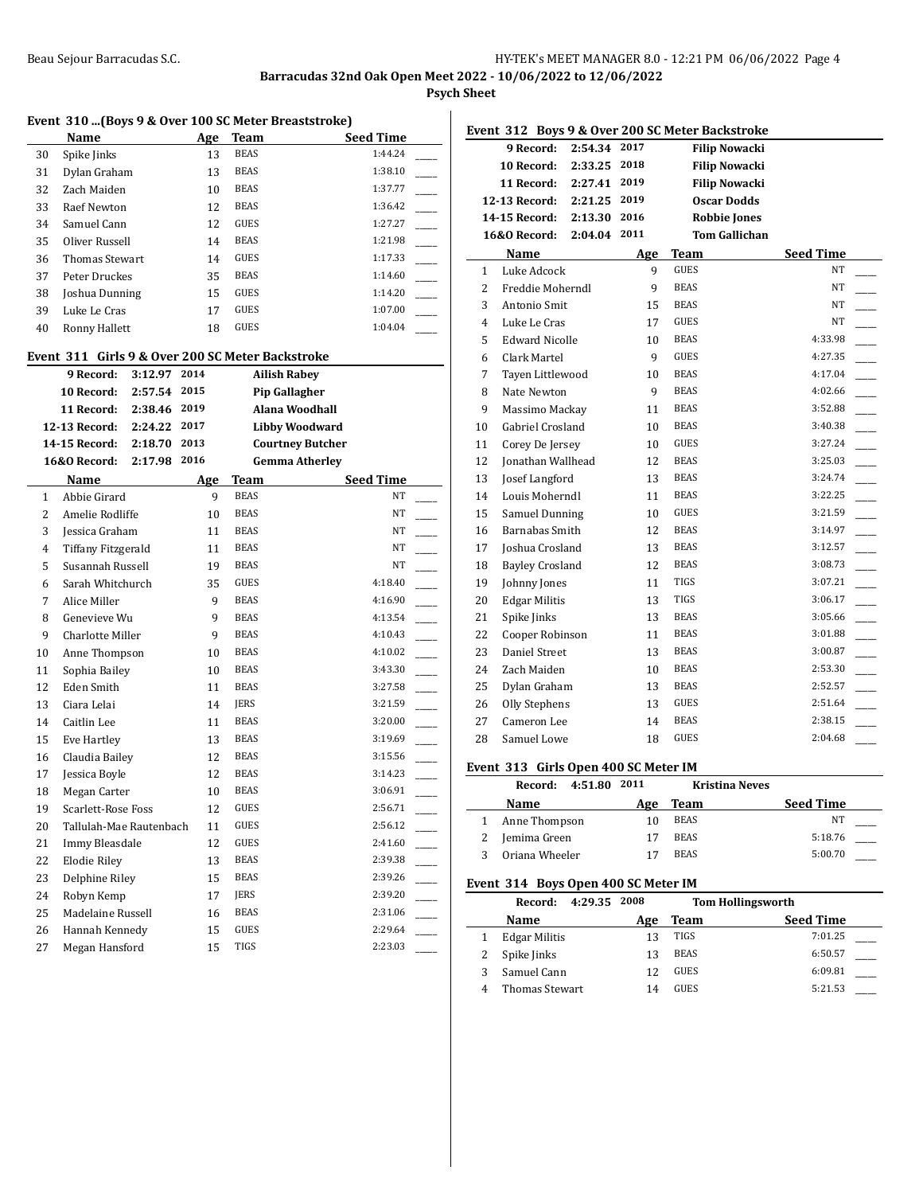**Psych Sheet**

|                |                                                  |              |            |             | Event 310  (Boys 9 & Over 100 SC Meter Breaststroke) |  |
|----------------|--------------------------------------------------|--------------|------------|-------------|------------------------------------------------------|--|
|                | <b>Name</b>                                      |              |            | Age Team    | <b>Seed Time</b>                                     |  |
| 30             | Spike Jinks                                      |              | 13         | <b>BEAS</b> | 1:44.24                                              |  |
| 31             | Dylan Graham                                     |              | 13         | <b>BEAS</b> | 1:38.10                                              |  |
| 32             | Zach Maiden                                      |              | 10         | <b>BEAS</b> | 1:37.77                                              |  |
| 33             | <b>Raef Newton</b>                               |              | 12         | <b>BEAS</b> | 1:36.42                                              |  |
| 34             | Samuel Cann                                      |              | 12         | <b>GUES</b> | 1:27.27                                              |  |
| 35             | Oliver Russell                                   |              | 14         | <b>BEAS</b> | 1:21.98                                              |  |
| 36             | <b>Thomas Stewart</b>                            |              | 14         | <b>GUES</b> | 1:17.33                                              |  |
| 37             | Peter Druckes                                    |              | 35         | <b>BEAS</b> | 1:14.60                                              |  |
| 38             | Joshua Dunning                                   |              | 15         | <b>GUES</b> | 1:14.20                                              |  |
| 39             | Luke Le Cras                                     |              | 17         | <b>GUES</b> | 1:07.00                                              |  |
| 40             | Ronny Hallett                                    |              | 18         | GUES        | 1:04.04                                              |  |
|                | Event 311 Girls 9 & Over 200 SC Meter Backstroke |              |            |             |                                                      |  |
|                | 9 Record:                                        | 3:12.97      | 2014       |             | <b>Ailish Rabey</b>                                  |  |
|                | 10 Record:                                       | 2:57.54 2015 |            |             | <b>Pip Gallagher</b>                                 |  |
|                | 11 Record:                                       | 2:38.46 2019 |            |             | Alana Woodhall                                       |  |
|                | 12-13 Record:                                    | 2:24.22 2017 |            |             | Libby Woodward                                       |  |
|                | 14-15 Record:                                    | 2:18.70      | 2013       |             | <b>Courtney Butcher</b>                              |  |
|                | 16&0 Record:                                     | 2:17.98 2016 |            |             | <b>Gemma Atherley</b>                                |  |
|                | Name                                             |              | <u>Age</u> | Team        | Seed Time                                            |  |
| $\mathbf{1}$   | Abbie Girard                                     |              | 9          | <b>BEAS</b> | NT                                                   |  |
| 2              | Amelie Rodliffe                                  |              | 10         | <b>BEAS</b> | NT                                                   |  |
| 3              | Jessica Graham                                   |              | 11         | <b>BEAS</b> | NΤ                                                   |  |
| $\overline{4}$ | Tiffany Fitzgerald                               |              | 11         | <b>BEAS</b> | NΤ                                                   |  |
| 5              | Susannah Russell                                 |              | 19         | <b>BEAS</b> | NT                                                   |  |
| 6              | Sarah Whitchurch                                 |              | 35         | <b>GUES</b> | 4:18.40                                              |  |
| 7              | Alice Miller                                     |              | 9          | <b>BEAS</b> | 4:16.90                                              |  |
| 8              | Genevieve Wu                                     |              | 9          | <b>BEAS</b> | 4:13.54                                              |  |
| 9              | Charlotte Miller                                 |              | 9          | <b>BEAS</b> | 4:10.43                                              |  |
| 10             | Anne Thompson                                    |              | 10         | <b>BEAS</b> | 4:10.02                                              |  |
| 11             | Sophia Bailey                                    |              | 10         | <b>BEAS</b> | 3:43.30                                              |  |
| 12             | Eden Smith                                       |              | 11         | <b>BEAS</b> | 3:27.58                                              |  |
| 13             | Ciara Lelai                                      |              | 14         | <b>JERS</b> | 3:21.59                                              |  |
| 14             | Caitlin Lee                                      |              | 11         | <b>BEAS</b> | 3:20.00                                              |  |
| 15             | Eve Hartley                                      |              | 13         | <b>BEAS</b> | 3:19.69                                              |  |
| 16             | Claudia Bailey                                   |              | 12         | <b>BEAS</b> | 3:15.56                                              |  |
| 17             | Jessica Boyle                                    |              | 12         | <b>BEAS</b> | 3:14.23                                              |  |
| 18             | Megan Carter                                     |              | 10         | BEAS        | 3:06.91                                              |  |
| 19             | Scarlett-Rose Foss                               |              | 12         | GUES        | 2:56.71                                              |  |
| 20             | Tallulah-Mae Rautenbach                          |              | 11         | GUES        | 2:56.12                                              |  |
| 21             | Immy Bleasdale                                   |              | 12         | GUES        | 2:41.60                                              |  |
| 22             | <b>Elodie Riley</b>                              |              | 13         | <b>BEAS</b> | 2:39.38                                              |  |
| 23             | Delphine Riley                                   |              | 15         | BEAS        | 2:39.26                                              |  |
| 24             | Robyn Kemp                                       |              | 17         | JERS        | 2:39.20                                              |  |
| 25             | Madelaine Russell                                |              | 16         | <b>BEAS</b> | 2:31.06                                              |  |
| 26             | Hannah Kennedy                                   |              | 15         | GUES        | 2:29.64                                              |  |
| 27             | Megan Hansford                                   |              | 15         | TIGS        | 2:23.03                                              |  |

|              | Event 312 Boys 9 & Over 200 SC Meter Backstroke |              |      |             |                      |                  |  |
|--------------|-------------------------------------------------|--------------|------|-------------|----------------------|------------------|--|
|              | 9 Record:                                       | 2:54.34      | 2017 |             | <b>Filip Nowacki</b> |                  |  |
|              | <b>10 Record:</b>                               | 2:33.25      | 2018 |             | <b>Filip Nowacki</b> |                  |  |
|              | 11 Record:                                      | 2:27.41      | 2019 |             | <b>Filip Nowacki</b> |                  |  |
|              | 12-13 Record:                                   | 2:21.25      | 2019 |             | <b>Oscar Dodds</b>   |                  |  |
|              | 14-15 Record:                                   | 2:13.30      | 2016 |             | <b>Robbie Jones</b>  |                  |  |
|              | 16&0 Record:                                    | 2:04.04 2011 |      |             | <b>Tom Gallichan</b> |                  |  |
|              | Name                                            |              | Age  | Team        |                      | <b>Seed Time</b> |  |
| $\mathbf{1}$ | Luke Adcock                                     |              | 9    | <b>GUES</b> |                      | NT.              |  |
| 2            | Freddie Moherndl                                |              | 9    | <b>BEAS</b> |                      | NT               |  |
| 3            | Antonio Smit                                    |              | 15   | <b>BEAS</b> |                      | NT               |  |
| 4            | Luke Le Cras                                    |              | 17   | GUES        |                      | NT               |  |
| 5.           | <b>Edward Nicolle</b>                           |              | 10   | <b>BEAS</b> |                      | 4:33.98          |  |
| 6            | Clark Martel                                    |              | 9    | <b>GUES</b> |                      | 4:27.35          |  |
| 7            | Tayen Littlewood                                |              | 10   | <b>BEAS</b> |                      | 4:17.04          |  |
| 8            | Nate Newton                                     |              | 9    | <b>BEAS</b> |                      | 4:02.66          |  |
| 9            | Massimo Mackay                                  |              | 11   | <b>BEAS</b> |                      | 3:52.88          |  |
| 10           | Gabriel Crosland                                |              | 10   | <b>BEAS</b> |                      | 3:40.38          |  |
| 11           | Corey De Jersey                                 |              | 10   | GUES        |                      | 3:27.24          |  |
| 12           | Jonathan Wallhead                               |              | 12   | <b>BEAS</b> |                      | 3:25.03          |  |
| 13           | Josef Langford                                  |              | 13   | <b>BEAS</b> |                      | 3:24.74          |  |
| 14           | Louis Moherndl                                  |              | 11   | <b>BEAS</b> |                      | 3:22.25          |  |
| 15           | Samuel Dunning                                  |              | 10   | <b>GUES</b> |                      | 3:21.59          |  |
| 16           | Barnabas Smith                                  |              | 12   | <b>BEAS</b> |                      | 3:14.97          |  |
| 17           | Joshua Crosland                                 |              | 13   | <b>BEAS</b> |                      | 3:12.57          |  |
| 18           | <b>Bayley Crosland</b>                          |              | 12   | <b>BEAS</b> |                      | 3:08.73          |  |
| 19           | Johnny Jones                                    |              | 11   | <b>TIGS</b> |                      | 3:07.21          |  |
| 20           | <b>Edgar Militis</b>                            |              | 13   | <b>TIGS</b> |                      | 3:06.17          |  |
| 21           | Spike Jinks                                     |              | 13   | <b>BEAS</b> |                      | 3:05.66          |  |
| 22           | Cooper Robinson                                 |              | 11   | <b>BEAS</b> |                      | 3:01.88          |  |
| 23           | Daniel Street                                   |              | 13   | <b>BEAS</b> |                      | 3:00.87          |  |
| 24           | Zach Maiden                                     |              | 10   | <b>BEAS</b> |                      | 2:53.30          |  |
| 25           | Dylan Graham                                    |              | 13   | <b>BEAS</b> |                      | 2:52.57          |  |
| 26           | Olly Stephens                                   |              | 13   | <b>GUES</b> |                      | 2:51.64          |  |
| 27           | Cameron Lee                                     |              | 14   | <b>BEAS</b> |                      | 2:38.15          |  |
| 28           | Samuel Lowe                                     |              | 18   | <b>GUES</b> |                      | 2:04.68          |  |
|              |                                                 |              |      |             |                      |                  |  |

## **Event 313 Girls Open 400 SC Meter IM**

|  | 4:51.80 2011<br>Record: |     | <b>Kristina Neves</b> |                  |  |
|--|-------------------------|-----|-----------------------|------------------|--|
|  | <b>Name</b>             | Age | <b>Team</b>           | <b>Seed Time</b> |  |
|  | 1 Anne Thompson         | 10  | <b>BEAS</b>           | NΤ               |  |
|  | Jemima Green            | 17  | <b>BEAS</b>           | 5:18.76          |  |
|  | Oriana Wheeler          |     | <b>BEAS</b>           | 5:00.70          |  |

#### **Event 314 Boys Open 400 SC Meter IM**

| 4:29.35 2008<br>Record: |     |             | <b>Tom Hollingsworth</b> |
|-------------------------|-----|-------------|--------------------------|
| Name                    | Age | Team        | <b>Seed Time</b>         |
| <b>Edgar Militis</b>    | 13  | TIGS        | 7:01.25                  |
| Spike Jinks             | 13  | <b>BEAS</b> | 6:50.57                  |
| Samuel Cann             | 12  | GUES        | 6:09.81                  |
| Thomas Stewart          | 14  | GUES        | 5:21.53                  |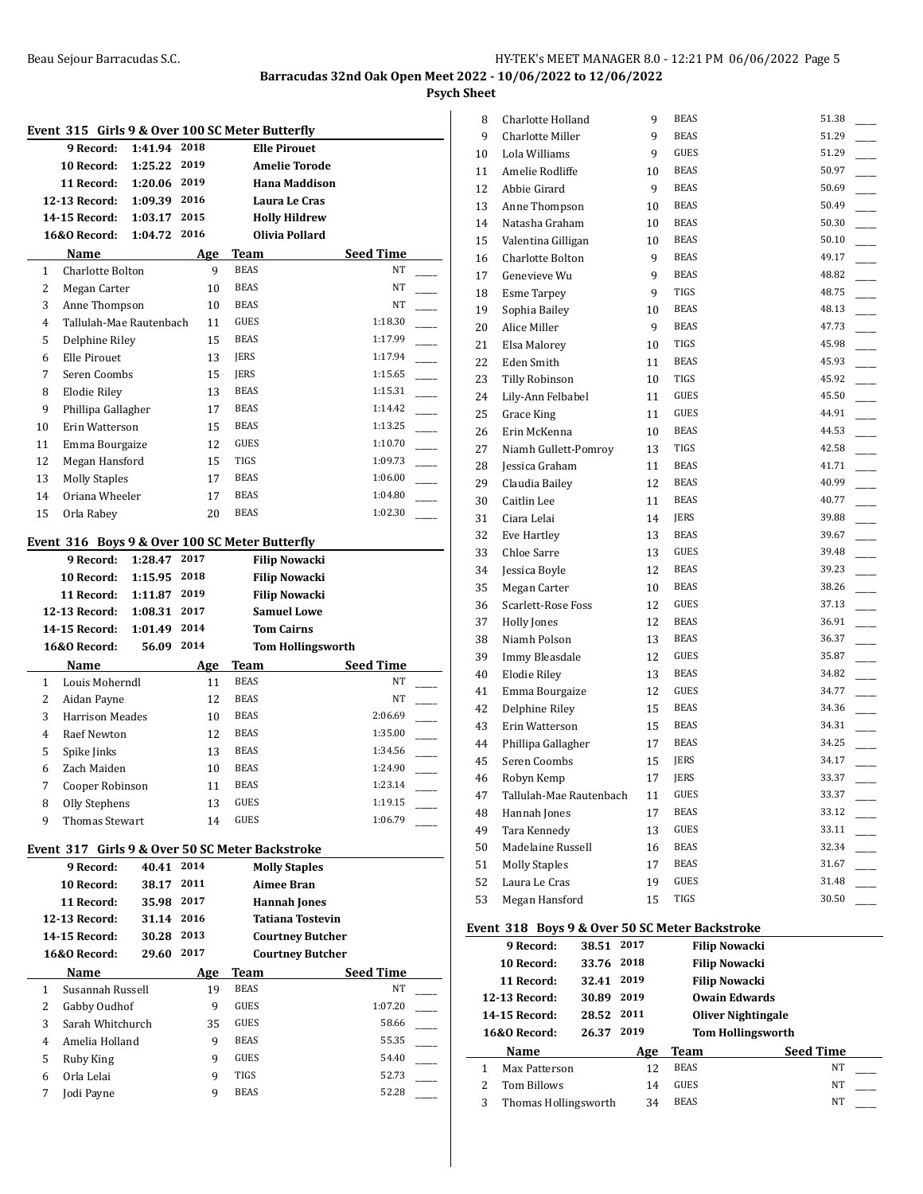**Psych Sheet**

|              | 9 Record:                                | 1:41.94 2018     |           | Event 315 Girls 9 & Over 100 SC Meter Butterfly<br><b>Elle Pirouet</b> |                          |
|--------------|------------------------------------------|------------------|-----------|------------------------------------------------------------------------|--------------------------|
|              | 10 Record:                               | 1:25.22          | 2019      | <b>Amelie Torode</b>                                                   |                          |
|              | 11 Record:                               | 1:20.06 2019     |           | <b>Hana Maddison</b>                                                   |                          |
|              | 12-13 Record:                            | 1:09.39 2016     |           | Laura Le Cras                                                          |                          |
|              | <b>14-15 Record:</b>                     | 1:03.17          | 2015      | <b>Holly Hildrew</b>                                                   |                          |
|              | 16&0 Record:                             | 1:04.72 2016     |           | Olivia Pollard                                                         |                          |
|              | Name                                     |                  |           | Team                                                                   | Seed Time                |
| 1            | Charlotte Bolton                         |                  | Age<br>9. | <b>BEAS</b>                                                            | NT                       |
| 2            |                                          |                  | 10        | <b>BEAS</b>                                                            | NT                       |
| 3            | Megan Carter                             |                  |           | <b>BEAS</b>                                                            | NT                       |
| 4            | Anne Thompson<br>Tallulah-Mae Rautenbach |                  | 10        | <b>GUES</b>                                                            | 1:18.30                  |
|              |                                          |                  | 11        |                                                                        |                          |
| 5            | Delphine Riley                           |                  | 15        | <b>BEAS</b>                                                            | 1:17.99                  |
| 6            | Elle Pirouet                             |                  | 13        | <b>JERS</b>                                                            | 1:17.94                  |
| 7            | Seren Coombs                             |                  | 15        | <b>JERS</b>                                                            | 1:15.65                  |
| 8            | <b>Elodie Riley</b>                      |                  | 13        | <b>BEAS</b>                                                            | 1:15.31                  |
| 9            | Phillipa Gallagher                       |                  | 17        | <b>BEAS</b>                                                            | 1:14.42                  |
| 10           | Erin Watterson                           |                  | 15        | <b>BEAS</b>                                                            | 1:13.25                  |
| 11           | Emma Bourgaize                           |                  | 12        | GUES                                                                   | 1:10.70                  |
| 12           | Megan Hansford                           |                  | 15        | <b>TIGS</b>                                                            | 1:09.73                  |
| 13           | <b>Molly Staples</b>                     |                  | 17        | <b>BEAS</b>                                                            | 1:06.00                  |
| 14           | Oriana Wheeler                           |                  | 17        | <b>BEAS</b>                                                            | 1:04.80                  |
| 15           | Orla Rabev                               |                  | 20        | <b>BEAS</b>                                                            | 1:02.30                  |
|              |                                          |                  |           | Event 316 Boys 9 & Over 100 SC Meter Butterfly                         |                          |
|              | 9 Record:                                | 1:28.47          | 2017      | <b>Filip Nowacki</b>                                                   |                          |
|              | 10 Record:                               | 1:15.95          | 2018      | <b>Filip Nowacki</b>                                                   |                          |
|              |                                          | 1:11.87          | 2019      |                                                                        |                          |
|              | 11 Record:                               | 1:08.31          | 2017      | <b>Filip Nowacki</b><br><b>Samuel Lowe</b>                             |                          |
|              | 12-13 Record:<br><b>14-15 Record:</b>    |                  | 2014      | <b>Tom Cairns</b>                                                      |                          |
|              | <b>16&amp;0 Record:</b>                  | 1:01.49<br>56.09 | 2014      |                                                                        |                          |
|              |                                          |                  |           |                                                                        | <b>Tom Hollingsworth</b> |
| $\mathbf{1}$ | Name                                     |                  | Age       | Team<br><b>BEAS</b>                                                    | Seed Time<br>NT          |
| 2            | Louis Moherndl<br>Aidan Payne            |                  | 11<br>12  | <b>BEAS</b>                                                            | NT                       |
|              | <b>Harrison Meades</b>                   |                  |           | <b>BEAS</b>                                                            | 2:06.69                  |
| 3            |                                          |                  | 10        | <b>BEAS</b>                                                            | 1:35.00                  |
| 4            | Raef Newton                              |                  | 12        | <b>BEAS</b>                                                            | 1:34.56                  |
| 5            | Spike Jinks                              |                  | 13        | <b>BEAS</b>                                                            |                          |
| 6            | Zach Maiden                              |                  | 10        |                                                                        | 1:24.90                  |
| 7            | Cooper Robinson                          |                  | 11        | <b>BEAS</b>                                                            | 1:23.14                  |
| 8            | Olly Stephens                            |                  | 13        | GUES                                                                   | 1:19.15                  |
| 9            | Thomas Stewart                           |                  | 14        | GUES                                                                   | 1:06.79                  |
|              |                                          |                  |           | Event 317 Girls 9 & Over 50 SC Meter Backstroke                        |                          |
|              | 9 Record:                                | 40.41            | 2014      | <b>Molly Staples</b>                                                   |                          |
|              | 10 Record:                               | 38.17            | 2011      | <b>Aimee Bran</b>                                                      |                          |
|              | 11 Record:                               | 35.98            | 2017      | <b>Hannah Jones</b>                                                    |                          |
|              | 12-13 Record:                            | 31.14 2016       |           | <b>Tatiana Tostevin</b>                                                |                          |
|              | 14-15 Record:                            | 30.28            | 2013      |                                                                        | <b>Courtney Butcher</b>  |
|              | 16&0 Record:                             | 29.60            | 2017      |                                                                        | <b>Courtney Butcher</b>  |
|              | Name                                     |                  | Age       | Team                                                                   | <b>Seed Time</b>         |
| 1            | Susannah Russell                         |                  | 19        | <b>BEAS</b>                                                            | NT                       |
|              |                                          |                  | 9         | GUES                                                                   | 1:07.20                  |
| 2            | Gabby Oudhof                             |                  |           |                                                                        |                          |
|              | Sarah Whitchurch<br>Amelia Holland       |                  | 35        | GUES                                                                   | 58.66                    |
| 3            |                                          |                  | 9         | <b>BEAS</b>                                                            | 55.35                    |
| 4            |                                          |                  |           |                                                                        |                          |
| 5            | <b>Ruby King</b>                         |                  | 9         | GUES                                                                   | 54.40                    |
| 6<br>7       | Orla Lelai<br>Jodi Payne                 |                  | 9<br>9    | TIGS<br><b>BEAS</b>                                                    | 52.73<br>52.28           |

| 8  | Charlotte Holland                              |            | 9    | <b>BEAS</b> |                           | 51.38 |  |
|----|------------------------------------------------|------------|------|-------------|---------------------------|-------|--|
| 9  | Charlotte Miller                               |            | 9    | <b>BEAS</b> |                           | 51.29 |  |
| 10 | Lola Williams                                  |            | 9    | <b>GUES</b> |                           | 51.29 |  |
| 11 | Amelie Rodliffe                                |            | 10   | <b>BEAS</b> |                           | 50.97 |  |
| 12 | Abbie Girard                                   |            | 9    | <b>BEAS</b> |                           | 50.69 |  |
| 13 | Anne Thompson                                  |            | 10   | <b>BEAS</b> |                           | 50.49 |  |
| 14 | Natasha Graham                                 |            | 10   | <b>BEAS</b> |                           | 50.30 |  |
| 15 | Valentina Gilligan                             |            | 10   | <b>BEAS</b> |                           | 50.10 |  |
| 16 | Charlotte Bolton                               |            | 9    | <b>BEAS</b> |                           | 49.17 |  |
| 17 | Genevieve Wu                                   |            | 9    | <b>BEAS</b> |                           | 48.82 |  |
| 18 | <b>Esme Tarpey</b>                             |            | 9    | TIGS        |                           | 48.75 |  |
| 19 | Sophia Bailey                                  |            | 10   | <b>BEAS</b> |                           | 48.13 |  |
| 20 | Alice Miller                                   |            | 9    | <b>BEAS</b> |                           | 47.73 |  |
| 21 | Elsa Malorey                                   |            | 10   | TIGS        |                           | 45.98 |  |
| 22 | Eden Smith                                     |            | 11   | <b>BEAS</b> |                           | 45.93 |  |
| 23 | Tilly Robinson                                 |            | 10   | TIGS        |                           | 45.92 |  |
| 24 | Lily-Ann Felbabel                              |            | 11   | <b>GUES</b> |                           | 45.50 |  |
| 25 | <b>Grace King</b>                              |            | 11   | <b>GUES</b> |                           | 44.91 |  |
| 26 | Erin McKenna                                   |            | 10   | <b>BEAS</b> |                           | 44.53 |  |
| 27 | Niamh Gullett-Pomroy                           |            | 13   | TIGS        |                           | 42.58 |  |
| 28 | Jessica Graham                                 |            | 11   | <b>BEAS</b> |                           | 41.71 |  |
| 29 | Claudia Bailey                                 |            | 12   | <b>BEAS</b> |                           | 40.99 |  |
| 30 | Caitlin Lee                                    |            | 11   | <b>BEAS</b> |                           | 40.77 |  |
| 31 | Ciara Lelai                                    |            | 14   | JERS        |                           | 39.88 |  |
| 32 | Eve Hartley                                    |            | 13   | <b>BEAS</b> |                           | 39.67 |  |
| 33 | Chloe Sarre                                    |            | 13   | <b>GUES</b> |                           | 39.48 |  |
| 34 | Jessica Boyle                                  |            | 12   | <b>BEAS</b> |                           | 39.23 |  |
| 35 | Megan Carter                                   |            | 10   | <b>BEAS</b> |                           | 38.26 |  |
| 36 | Scarlett-Rose Foss                             |            | 12   | <b>GUES</b> |                           | 37.13 |  |
| 37 | Holly Jones                                    |            | 12   | <b>BEAS</b> |                           | 36.91 |  |
| 38 | Niamh Polson                                   |            | 13   | <b>BEAS</b> |                           | 36.37 |  |
| 39 | Immy Bleasdale                                 |            | 12   | <b>GUES</b> |                           | 35.87 |  |
| 40 | <b>Elodie Riley</b>                            |            | 13   | <b>BEAS</b> |                           | 34.82 |  |
| 41 | Emma Bourgaize                                 |            | 12   | <b>GUES</b> |                           | 34.77 |  |
| 42 | Delphine Riley                                 |            | 15   | <b>BEAS</b> |                           | 34.36 |  |
| 43 | Erin Watterson                                 |            | 15   | <b>BEAS</b> |                           | 34.31 |  |
| 44 | Phillipa Gallagher                             |            | 17   | <b>BEAS</b> |                           | 34.25 |  |
| 45 | Seren Coombs                                   |            | 15   | <b>JERS</b> |                           | 34.17 |  |
| 46 | Robyn Kemp                                     |            | 17   | <b>JERS</b> |                           | 33.37 |  |
| 47 | Tallulah-Mae Rautenbach                        |            | 11   | GUES        |                           | 33.37 |  |
| 48 | Hannah Jones                                   |            | 17   | <b>BEAS</b> |                           | 33.12 |  |
| 49 | Tara Kennedy                                   |            | 13   | GUES        |                           | 33.11 |  |
| 50 | Madelaine Russell                              |            | 16   | <b>BEAS</b> |                           | 32.34 |  |
| 51 | <b>Molly Staples</b>                           |            | 17   | <b>BEAS</b> |                           | 31.67 |  |
| 52 | Laura Le Cras                                  |            | 19   | GUES        |                           | 31.48 |  |
| 53 | Megan Hansford                                 |            | 15   | TIGS        |                           | 30.50 |  |
|    | Event 318 Boys 9 & Over 50 SC Meter Backstroke |            |      |             |                           |       |  |
|    | 9 Record:                                      | 38.51      | 2017 |             | <b>Filip Nowacki</b>      |       |  |
|    | 10 Record:                                     | 33.76      | 2018 |             | <b>Filip Nowacki</b>      |       |  |
|    | 11 Record:                                     | 32.41      | 2019 |             | <b>Filip Nowacki</b>      |       |  |
|    | 12-13 Record:                                  | 30.89 2019 |      |             | <b>Owain Edwards</b>      |       |  |
|    | 14-15 Record:                                  | 28.52 2011 |      |             | <b>Oliver Nightingale</b> |       |  |
|    | 16&0 Record:                                   | 26.37      | 2019 |             | <b>Tom Hollingsworth</b>  |       |  |
|    |                                                |            |      | m.          |                           |       |  |

|   | <b>Name</b>            | Age | Team        | <b>Seed Time</b> |
|---|------------------------|-----|-------------|------------------|
| 1 | Max Patterson          |     | <b>BEAS</b> | NΤ               |
|   | 2 Tom Billows          | 14  | GUES        | NT               |
|   | 3 Thomas Hollingsworth | 34  | BEAS        | NT               |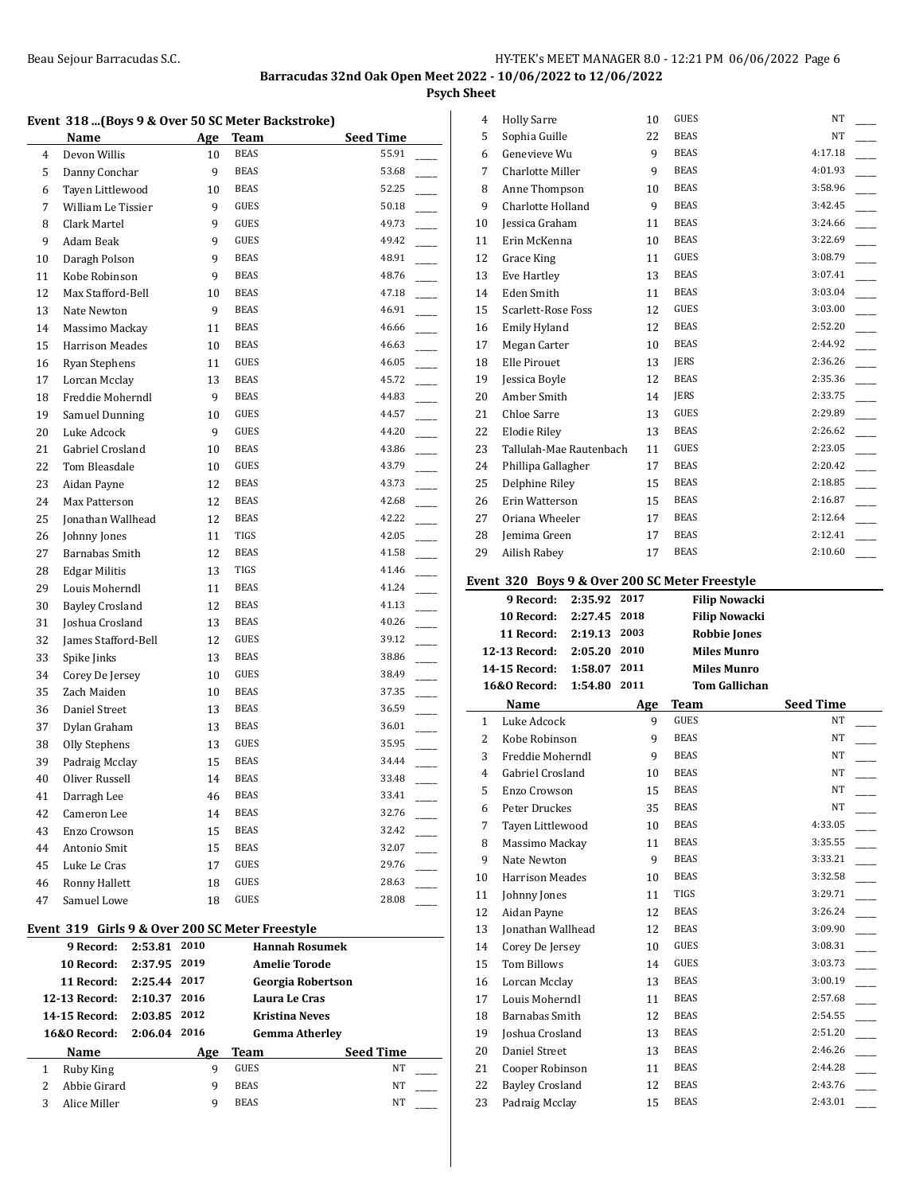## **Psych Sheet**

## **Event 318 ...(Boys 9 & Over 50 SC Meter Backstroke)**

|        | Name                                            | Age      | Team                | <b>Seed Time</b>         |
|--------|-------------------------------------------------|----------|---------------------|--------------------------|
| 4      | Devon Willis                                    | 10       | <b>BEAS</b>         | 55.91                    |
| 5      | Danny Conchar                                   | 9        | <b>BEAS</b>         | 53.68                    |
| 6      | Tayen Littlewood                                | 10       | <b>BEAS</b>         | 52.25                    |
| 7      | William Le Tissier                              | 9        | GUES                | 50.18                    |
| 8      | Clark Martel                                    | 9        | GUES                | 49.73                    |
| 9      | Adam Beak                                       | 9        | <b>GUES</b>         | 49.42                    |
| 10     | Daragh Polson                                   | 9        | <b>BEAS</b>         | 48.91                    |
| 11     | Kobe Robinson                                   | 9        | <b>BEAS</b>         | 48.76                    |
| 12     | Max Stafford-Bell                               | 10       | <b>BEAS</b>         | 47.18                    |
| 13     | Nate Newton                                     | 9        | <b>BEAS</b>         | 46.91                    |
| 14     | Massimo Mackay                                  | 11       | <b>BEAS</b>         | 46.66                    |
| 15     | <b>Harrison Meades</b>                          | 10       | <b>BEAS</b>         | 46.63                    |
| 16     | Ryan Stephens                                   | 11       | GUES                | 46.05                    |
| 17     | Lorcan Mcclay                                   | 13       | <b>BEAS</b>         | 45.72                    |
| 18     | Freddie Moherndl                                | 9        | BEAS                | 44.83                    |
| 19     | Samuel Dunning                                  | 10       | GUES                | 44.57                    |
| 20     | Luke Adcock                                     | 9        | GUES                | 44.20                    |
| 21     | Gabriel Crosland                                | 10       | <b>BEAS</b>         | 43.86                    |
| 22     | Tom Bleasdale                                   | 10       | <b>GUES</b>         | 43.79                    |
| 23     | Aidan Payne                                     | 12       | <b>BEAS</b>         | 43.73                    |
| 24     | Max Patterson                                   | 12       | <b>BEAS</b>         | 42.68                    |
| 25     | Jonathan Wallhead                               | 12       | <b>BEAS</b>         | 42.22                    |
| 26     | Johnny Jones                                    | 11       | <b>TIGS</b>         | 42.05                    |
| 27     | Barnabas Smith                                  | 12       | <b>BEAS</b>         | 41.58                    |
| 28     | <b>Edgar Militis</b>                            | 13       | TIGS                | 41.46                    |
| 29     | Louis Moherndl                                  | 11       | <b>BEAS</b>         | 41.24                    |
| 30     | <b>Bayley Crosland</b>                          | 12       | <b>BEAS</b>         | 41.13                    |
| 31     | Joshua Crosland                                 | 13       | <b>BEAS</b>         | 40.26                    |
| 32     | James Stafford-Bell                             | 12       | <b>GUES</b>         | 39.12                    |
| 33     | Spike Jinks                                     | 13       | <b>BEAS</b>         | 38.86                    |
| 34     | Corey De Jersey                                 | 10       | <b>GUES</b>         | 38.49                    |
| 35     | Zach Maiden                                     | 10       | <b>BEAS</b>         | 37.35                    |
| 36     | Daniel Street                                   | 13       | <b>BEAS</b>         | 36.59                    |
| 37     | Dylan Graham                                    | 13       | <b>BEAS</b>         | 36.01                    |
| 38     | Olly Stephens                                   | 13       | <b>GUES</b>         | 35.95                    |
| 39     | Padraig Mcclay                                  | 15       | <b>BEAS</b>         | 34.44                    |
| 40     | Oliver Russell                                  | 14       | <b>BEAS</b>         | 33.48                    |
| 41     | Darragh Lee                                     | 46       | <b>BEAS</b>         | 33.41                    |
| 42     | Cameron Lee                                     | 14       | <b>BEAS</b>         | 32.76                    |
| 43     | Enzo Crowson                                    | 15       | <b>BEAS</b>         | 32.42                    |
| 44     | Antonio Smit                                    | 15       | <b>BEAS</b>         | 32.07                    |
| 45     | Luke Le Cras                                    | 17       | GUES                | 29.76                    |
| 46     | Ronny Hallett                                   | 18       | GUES                | 28.63                    |
| 47     | Samuel Lowe                                     | 18       | <b>GUES</b>         | 28.08                    |
|        |                                                 |          |                     |                          |
|        | Event 319 Girls 9 & Over 200 SC Meter Freestyle |          |                     |                          |
|        | 9 Record:<br>2:53.81                            | 2010     |                     | <b>Hannah Rosumek</b>    |
|        | 2:37.95 2019<br>10 Record:                      |          |                     | <b>Amelie Torode</b>     |
|        | 11 Record:<br>2:25.44 2017                      |          |                     | <b>Georgia Robertson</b> |
|        | 2:10.37 2016<br>12-13 Record:                   |          |                     | Laura Le Cras            |
|        | 2:03.85 2012<br>14-15 Record:                   |          |                     | <b>Kristina Neves</b>    |
|        | 16&0 Record:<br>2:06.04 2016                    |          |                     | <b>Gemma Atherley</b>    |
|        | Name                                            | Age<br>9 | Team<br><b>GUES</b> | Seed Time<br>NT          |
| 1<br>2 | <b>Ruby King</b><br>Abbie Girard                | 9        | BEAS                | NT                       |
| 3      | Alice Miller                                    | 9        | <b>BEAS</b>         | NT                       |
|        |                                                 |          |                     |                          |

| 4              | <b>Holly Sarre</b>                             |         | 10       | GUES         |                      | NT                 |  |
|----------------|------------------------------------------------|---------|----------|--------------|----------------------|--------------------|--|
| 5              | Sophia Guille                                  |         | 22       | <b>BEAS</b>  |                      | NT.                |  |
| 6              | Genevieve Wu                                   |         | 9        | <b>BEAS</b>  |                      | 4:17.18            |  |
| 7              | <b>Charlotte Miller</b>                        |         | 9        | <b>BEAS</b>  |                      | 4:01.93            |  |
| 8              | Anne Thompson                                  |         | 10       | <b>BEAS</b>  |                      | 3:58.96            |  |
| 9              | Charlotte Holland                              |         | 9        | <b>BEAS</b>  |                      | 3:42.45            |  |
| 10             | Jessica Graham                                 |         | 11       | <b>BEAS</b>  |                      | 3:24.66            |  |
| 11             | Erin McKenna                                   |         | 10       | <b>BEAS</b>  |                      | 3:22.69            |  |
| 12             | Grace King                                     |         | 11       | GUES         |                      | 3:08.79            |  |
| 13             | Eve Hartley                                    |         | 13       | <b>BEAS</b>  |                      | 3:07.41            |  |
| 14             | Eden Smith                                     |         | 11       | <b>BEAS</b>  |                      | 3:03.04            |  |
| 15             | Scarlett-Rose Foss                             |         | 12       | <b>GUES</b>  |                      | 3:03.00            |  |
| 16             | Emily Hyland                                   |         | 12       | <b>BEAS</b>  |                      | 2:52.20            |  |
| 17             | Megan Carter                                   |         | 10       | <b>BEAS</b>  |                      | 2:44.92            |  |
| 18             | Elle Pirouet                                   |         | 13       | <b>JERS</b>  |                      | 2:36.26            |  |
| 19             | Jessica Boyle                                  |         | 12       | <b>BEAS</b>  |                      | 2:35.36            |  |
| 20             | Amber Smith                                    |         | 14       | <b>JERS</b>  |                      | 2:33.75            |  |
| 21             | Chloe Sarre                                    |         | 13       | <b>GUES</b>  |                      | 2:29.89            |  |
| 22             | <b>Elodie Rilev</b>                            |         | 13       | <b>BEAS</b>  |                      | 2:26.62            |  |
| 23             | Tallulah-Mae Rautenbach                        |         | 11       | GUES         |                      | 2:23.05            |  |
| 24             | Phillipa Gallagher                             |         | 17       | <b>BEAS</b>  |                      | 2:20.42            |  |
| 25             | Delphine Riley                                 |         | 15       | <b>BEAS</b>  |                      | 2:18.85            |  |
| 26             | Erin Watterson                                 |         | 15       | <b>BEAS</b>  |                      | 2:16.87            |  |
| 27             | Oriana Wheeler                                 |         | 17       | <b>BEAS</b>  |                      | 2:12.64            |  |
| 28             | Jemima Green                                   |         | 17       | <b>BEAS</b>  |                      | 2:12.41            |  |
| 29             | Ailish Rabey                                   |         | 17       | <b>BEAS</b>  |                      | 2:10.60            |  |
|                | Event 320 Boys 9 & Over 200 SC Meter Freestyle |         |          |              |                      |                    |  |
|                |                                                |         |          |              |                      |                    |  |
|                | 9 Record:                                      | 2:35.92 | 2017     |              | <b>Filip Nowacki</b> |                    |  |
|                | <b>10 Record:</b>                              | 2:27.45 | 2018     |              | <b>Filip Nowacki</b> |                    |  |
|                | 11 Record: 2:19.13 2003                        |         |          |              | <b>Robbie Jones</b>  |                    |  |
|                | 12-13 Record: 2:05.20                          |         | 2010     |              | <b>Miles Munro</b>   |                    |  |
|                | <b>14-15 Record:</b>                           | 1:58.07 | 2011     |              | <b>Miles Munro</b>   |                    |  |
|                | 16&0 Record:                                   | 1:54.80 | 2011     |              | <b>Tom Gallichan</b> |                    |  |
|                | Name                                           |         | Age      | Team         |                      | <b>Seed Time</b>   |  |
| $\mathbf{1}$   | Luke Adcock                                    |         | 9        | <b>GUES</b>  |                      | NT                 |  |
| 2              | Kobe Robinson                                  |         | 9        | <b>BEAS</b>  |                      | NT                 |  |
| 3              | Freddie Moherndl                               |         | 9        | <b>BEAS</b>  |                      | NT                 |  |
| $\overline{4}$ | Gabriel Crosland                               |         | 10       | <b>BEAS</b>  |                      | NT                 |  |
| 5              | Enzo Crowson                                   |         | 15       | <b>BEAS</b>  |                      | NT                 |  |
| 6              | Peter Druckes                                  |         | 35       | <b>BEAS</b>  |                      | NT                 |  |
| 7              | Tayen Littlewood                               |         | 10       | <b>BEAS</b>  |                      | 4:33.05            |  |
| 8              | Massimo Mackay                                 |         | 11       | <b>BEAS</b>  |                      | 3:35.55            |  |
| 9              | Nate Newton                                    |         | 9        | <b>BEAS</b>  |                      | 3:33.21            |  |
| 10             | Harrison Meades                                |         | 10       | BEAS         |                      | 3:32.58            |  |
| 11             | Johnny Jones                                   |         | 11       | TIGS         |                      | 3:29.71            |  |
| 12             | Aidan Payne                                    |         | 12       | <b>BEAS</b>  |                      | 3:26.24            |  |
| 13             | Jonathan Wallhead                              |         | 12       | <b>BEAS</b>  |                      | 3:09.90            |  |
| 14             | Corey De Jersey                                |         | 10       | GUES         |                      | 3:08.31            |  |
| 15             | Tom Billows                                    |         | 14       | GUES         |                      | 3:03.73            |  |
| 16             | Lorcan Mcclay                                  |         | 13       | <b>BEAS</b>  |                      | 3:00.19            |  |
| 17             | Louis Moherndl                                 |         | 11       | <b>BEAS</b>  |                      | 2:57.68            |  |
| 18             | Barnabas Smith                                 |         | 12       | <b>BEAS</b>  |                      | 2:54.55            |  |
| 19             | Joshua Crosland                                |         | 13       | <b>BEAS</b>  |                      | 2:51.20            |  |
| 20             | Daniel Street                                  |         | 13       | <b>BEAS</b>  |                      | 2:46.26            |  |
| 21<br>22       | Cooper Robinson<br><b>Bayley Crosland</b>      |         | 11<br>12 | BEAS<br>BEAS |                      | 2:44.28<br>2:43.76 |  |

22 Bayley Crosland 12 BEAS 2:43.76 23 Padraig Mcclay 15 BEAS 2:43.01 \_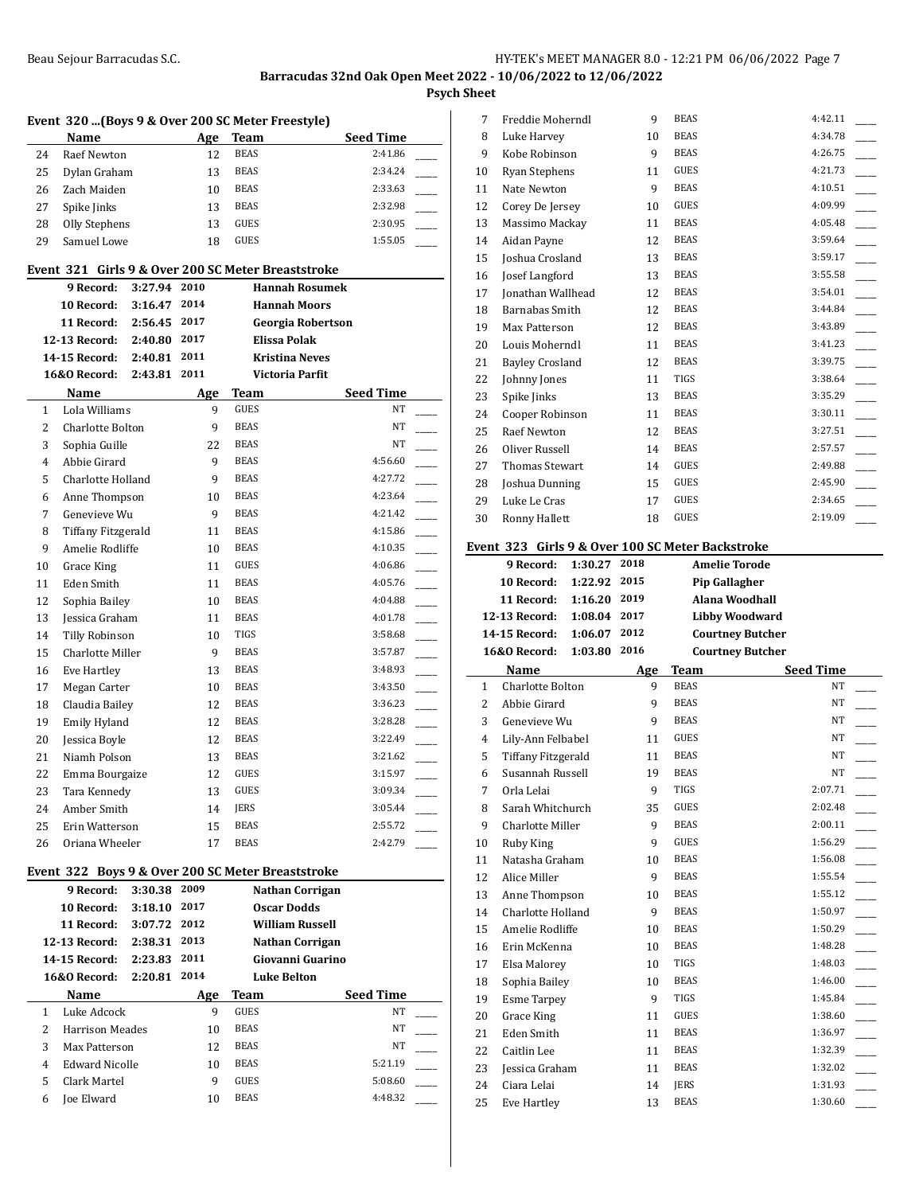**Psych Sheet**

|                | Event 320  (Boys 9 & Over 200 SC Meter Freestyle)  |              |      |                         |                                     |
|----------------|----------------------------------------------------|--------------|------|-------------------------|-------------------------------------|
|                | Name                                               |              |      | Age Team<br><b>BEAS</b> | <b>Seed Time</b><br>2:41.86         |
| 24             | <b>Raef Newton</b>                                 |              | 12   | <b>BEAS</b>             |                                     |
| 25             | Dylan Graham                                       |              | 13   |                         | 2:34.24                             |
| 26             | Zach Maiden                                        |              | 10   | <b>BEAS</b>             | 2:33.63                             |
| 27             | Spike Jinks                                        |              | 13   | <b>BEAS</b>             | 2:32.98                             |
| 28             | Olly Stephens                                      |              | 13   | GUES                    | 2:30.95                             |
| 29             | Samuel Lowe                                        |              | 18   | GUES                    | 1:55.05                             |
|                | Event 321 Girls 9 & Over 200 SC Meter Breaststroke |              |      |                         |                                     |
|                | 9 Record:                                          | 3:27.94      | 2010 |                         | <b>Hannah Rosumek</b>               |
|                | 10 Record:                                         | 3:16.47 2014 |      |                         | <b>Hannah Moors</b>                 |
|                | 11 Record:                                         | 2:56.45 2017 |      |                         | <b>Georgia Robertson</b>            |
|                | <b>12-13 Record:</b>                               | 2:40.80 2017 |      |                         | Elissa Polak                        |
|                | 14-15 Record:                                      | 2:40.81 2011 |      |                         | <b>Kristina Neves</b>               |
|                | <b>16&amp;0 Record:</b>                            | 2:43.81      | 2011 |                         | Victoria Parfit                     |
|                | Name                                               |              | Age  | Team                    | <b>Seed Time</b>                    |
| 1              | Lola Williams                                      |              | 9    | <b>GUES</b>             | NT                                  |
| $\overline{c}$ | Charlotte Bolton                                   |              | 9    | <b>BEAS</b>             | NT                                  |
| 3              | Sophia Guille                                      |              | 22   | <b>BEAS</b>             | NT                                  |
| 4              | Abbie Girard                                       |              | 9    | <b>BEAS</b>             | 4:56.60                             |
| 5              | Charlotte Holland                                  |              | 9    | <b>BEAS</b>             | 4:27.72                             |
| 6              | Anne Thompson                                      |              | 10   | <b>BEAS</b>             | 4:23.64                             |
| 7              | Genevieve Wu                                       |              | 9    | <b>BEAS</b>             | 4:21.42                             |
| 8              | Tiffany Fitzgerald                                 |              | 11   | <b>BEAS</b>             | 4:15.86<br>$\overline{\phantom{a}}$ |
| 9              | Amelie Rodliffe                                    |              | 10   | <b>BEAS</b>             | 4:10.35                             |
| 10             | Grace King                                         |              | 11   | <b>GUES</b>             | 4:06.86                             |
| 11             | Eden Smith                                         |              | 11   | <b>BEAS</b>             | 4:05.76                             |
| 12             | Sophia Bailey                                      |              | 10   | <b>BEAS</b>             | 4:04.88                             |
| 13             | Jessica Graham                                     |              | 11   | <b>BEAS</b>             | 4:01.78                             |
| 14             | Tilly Robinson                                     |              | 10   | TIGS                    | 3:58.68                             |
| 15             | Charlotte Miller                                   |              | 9    | <b>BEAS</b>             | 3:57.87<br>$\mathbb{R}$             |
| 16             | Eve Hartley                                        |              | 13   | <b>BEAS</b>             | 3:48.93                             |
| 17             |                                                    |              | 10   | <b>BEAS</b>             | 3:43.50                             |
|                | Megan Carter                                       |              | 12   | <b>BEAS</b>             | 3:36.23                             |
| 18             | Claudia Bailey                                     |              |      | <b>BEAS</b>             | 3:28.28                             |
| 19             | Emily Hyland                                       |              | 12   |                         |                                     |
| 20             | Jessica Boyle                                      |              | 12   | <b>BEAS</b>             | 3:22.49                             |
| 21             | Niamh Polson                                       |              | 13   | <b>BEAS</b>             | 3:21.62                             |
| 22             | Emma Bourgaize                                     |              | 12   | GUES                    | 3:15.97                             |
| 23             | Tara Kennedy                                       |              | 13   | GUES                    | 3:09.34                             |
| 24             | Amber Smith                                        |              | 14   | JERS                    | 3:05.44                             |
| 25             | Erin Watterson                                     |              | 15   | <b>BEAS</b>             | 2:55.72                             |
| 26             | Oriana Wheeler                                     |              | 17   | BEAS                    | 2:42.79                             |
|                | Event 322 Boys 9 & Over 200 SC Meter Breaststroke  |              |      |                         |                                     |
|                | 9 Record:                                          | 3:30.38      | 2009 |                         | Nathan Corrigan                     |
|                | 10 Record:                                         | 3:18.10 2017 |      |                         | <b>Oscar Dodds</b>                  |
|                | 11 Record: 3:07.72 2012                            |              |      |                         | <b>William Russell</b>              |
|                | 12-13 Record: 2:38.31 2013                         |              |      |                         | Nathan Corrigan                     |
|                | 14-15 Record: 2:23.83 2011                         |              |      |                         | Giovanni Guarino                    |
|                | 16&0 Record:                                       | 2:20.81      | 2014 |                         | <b>Luke Belton</b>                  |
|                | <b>Name</b>                                        |              | Age  | Team                    | Seed Time                           |
| 1              | Luke Adcock                                        |              | 9    | GUES                    | NT                                  |
|                | <b>Harrison Meades</b>                             |              | 10   | BEAS                    | ΝT                                  |
| 2              |                                                    |              | 12   | <b>BEAS</b>             | ΝT                                  |
| 3              | Max Patterson                                      |              |      |                         |                                     |
| 4              | <b>Edward Nicolle</b>                              |              | 10   | BEAS                    | 5:21.19                             |
| 5              | Clark Martel                                       |              | 9    | GUES                    | 5:08.60                             |

| 7  | Freddie Moherndl                                 |              | 9    | <b>BEAS</b> | 4:42.11                 |  |
|----|--------------------------------------------------|--------------|------|-------------|-------------------------|--|
| 8  | Luke Harvey                                      |              | 10   | <b>BEAS</b> | 4:34.78                 |  |
| 9  | Kobe Robinson                                    |              | 9    | <b>BEAS</b> | 4:26.75                 |  |
| 10 | Ryan Stephens                                    |              | 11   | <b>GUES</b> | 4:21.73                 |  |
| 11 | Nate Newton                                      |              | 9    | <b>BEAS</b> | 4:10.51                 |  |
| 12 | Corey De Jersey                                  |              | 10   | <b>GUES</b> | 4:09.99                 |  |
| 13 | Massimo Mackay                                   |              | 11   | <b>BEAS</b> | 4:05.48                 |  |
| 14 | Aidan Payne                                      |              | 12   | <b>BEAS</b> | 3:59.64                 |  |
| 15 | Joshua Crosland                                  |              | 13   | <b>BEAS</b> | 3:59.17                 |  |
| 16 | Josef Langford                                   |              | 13   | <b>BEAS</b> | 3:55.58                 |  |
| 17 | <b>Ionathan Wallhead</b>                         |              | 12   | <b>BEAS</b> | 3:54.01                 |  |
| 18 | <b>Barnabas</b> Smith                            |              | 12   | <b>BEAS</b> | 3:44.84                 |  |
| 19 | Max Patterson                                    |              | 12   | <b>BEAS</b> | 3:43.89                 |  |
| 20 | Louis Moherndl                                   |              | 11   | <b>BEAS</b> | 3:41.23                 |  |
| 21 | <b>Bayley Crosland</b>                           |              | 12   | <b>BEAS</b> | 3:39.75                 |  |
| 22 | Johnny Jones                                     |              | 11   | <b>TIGS</b> | 3:38.64                 |  |
| 23 | Spike Jinks                                      |              | 13   | <b>BEAS</b> | 3:35.29                 |  |
| 24 | Cooper Robinson                                  |              | 11   | <b>BEAS</b> | 3:30.11                 |  |
| 25 | Raef Newton                                      |              | 12   | <b>BEAS</b> | 3:27.51                 |  |
| 26 | Oliver Russell                                   |              | 14   | <b>BEAS</b> | 2:57.57                 |  |
| 27 | Thomas Stewart                                   |              | 14   | <b>GUES</b> | 2:49.88                 |  |
| 28 | Joshua Dunning                                   |              | 15   | <b>GUES</b> | 2:45.90                 |  |
| 29 | Luke Le Cras                                     |              | 17   | <b>GUES</b> | 2:34.65                 |  |
| 30 | Ronny Hallett                                    |              | 18   | <b>GUES</b> | 2:19.09                 |  |
|    |                                                  |              |      |             |                         |  |
|    |                                                  |              |      |             |                         |  |
|    | Event 323 Girls 9 & Over 100 SC Meter Backstroke |              |      |             |                         |  |
|    | 9 Record:                                        | 1:30.27      | 2018 |             | <b>Amelie Torode</b>    |  |
|    | 10 Record:                                       | 1:22.92      | 2015 |             | Pip Gallagher           |  |
|    | 11 Record:                                       | 1:16.20 2019 |      |             | Alana Woodhall          |  |
|    | <b>12-13 Record:</b>                             | 1:08.04 2017 |      |             | <b>Libby Woodward</b>   |  |
|    | <b>14-15 Record:</b>                             | 1:06.07      | 2012 |             | <b>Courtney Butcher</b> |  |
|    | <b>16&amp;0 Record:</b>                          | 1:03.80      | 2016 |             | <b>Courtney Butcher</b> |  |
|    | Name                                             |              | Age  | Team        | Seed Time               |  |
| 1  | Charlotte Bolton                                 |              | 9    | <b>BEAS</b> | NT                      |  |
| 2  | Abbie Girard                                     |              | 9    | <b>BEAS</b> | NT                      |  |
| 3  | Genevieve Wu                                     |              | 9    | <b>BEAS</b> | NT                      |  |
| 4  | Lily-Ann Felbabel                                |              | 11   | <b>GUES</b> | NT                      |  |
| 5  | <b>Tiffany Fitzgerald</b>                        |              | 11   | <b>BEAS</b> | NT                      |  |
| 6  | Susannah Russell                                 |              | 19   | <b>BEAS</b> | NT                      |  |
| 7  | Orla Lelai                                       |              | 9    | TIGS        | 2:07.71                 |  |
| 8  | Sarah Whitchurch                                 |              | 35   | GUES        | 2:02.48                 |  |
| 9  | Charlotte Miller                                 |              | 9    | <b>BEAS</b> | 2:00.11                 |  |
| 10 | Ruby King                                        |              | 9    | GUES        | 1:56.29                 |  |
| 11 | Natasha Graham                                   |              | 10   | <b>BEAS</b> | 1:56.08                 |  |
| 12 | Alice Miller                                     |              | 9    | <b>BEAS</b> | 1:55.54                 |  |
| 13 | Anne Thompson                                    |              | 10   | <b>BEAS</b> | 1:55.12                 |  |
| 14 | Charlotte Holland                                |              | 9    | <b>BEAS</b> | 1:50.97                 |  |
| 15 | Amelie Rodliffe                                  |              | 10   | <b>BEAS</b> | 1:50.29                 |  |

17 Elsa Malorey 10 TIGS 1:48.03 18 Sophia Bailey 10 BEAS 1:46.00 19 Esme Tarpey 9 TIGS 1:45.84 20 Grace King 11 GUES 1:38.60 21 Eden Smith 11 BEAS 1:36.97 22 Caitlin Lee 11 BEAS 1:32.39 23 Jessica Graham 11 BEAS 1:32.02 24 Ciara Lelai 14 JERS 1:31.93 25 Eve Hartley 13 BEAS 1:30.60 \_\_\_\_\_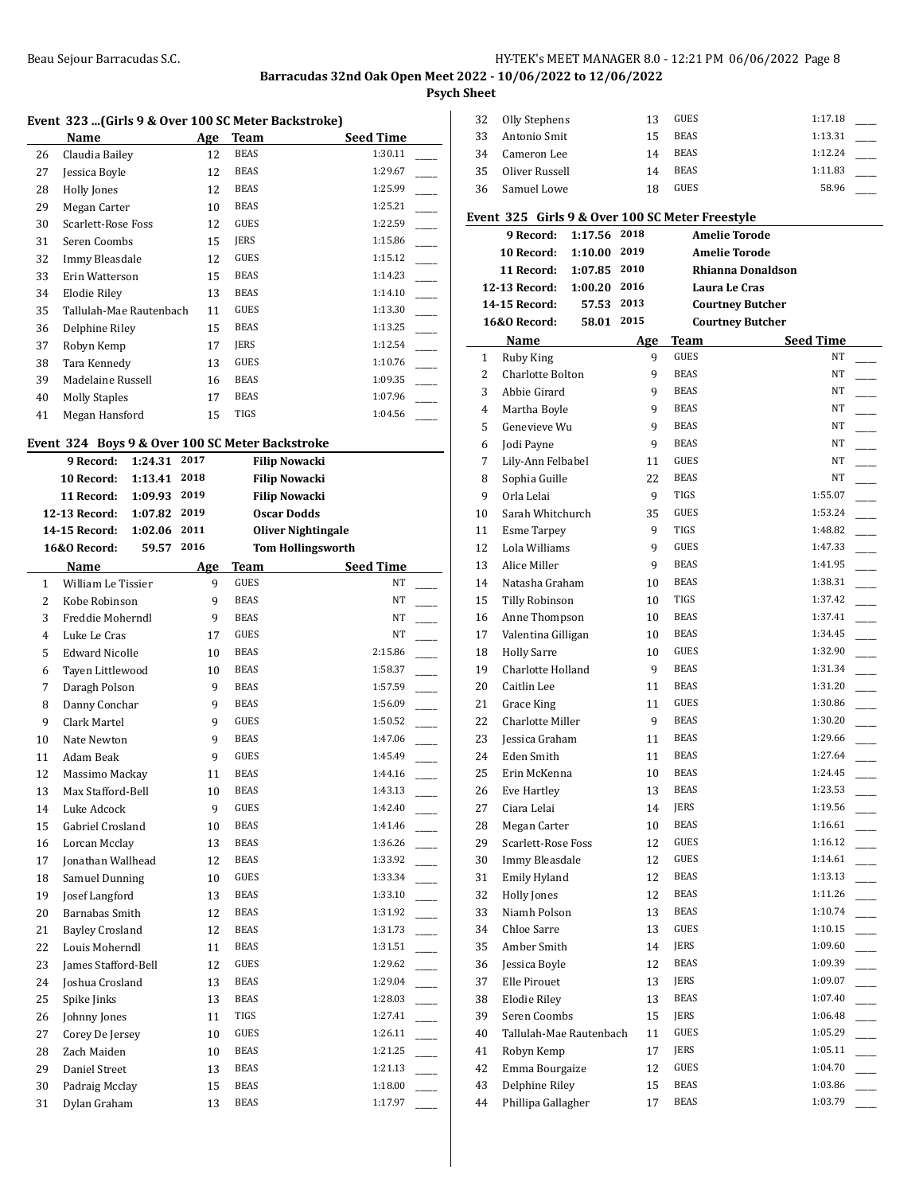## Beau Sejour Barracudas S.C. Sales S.C. Sales S.C. Sales S.C. Sales S.C. Sales S.C. Sales S.C. Sales S.C. Sales S

**Barracudas 32nd Oak Open Meet 2022 - 10/06/2022 to 12/06/2022**

**Psych Sheet**

## **Event 323 ...(Girls 9 & Over 100 SC Meter Backstroke)**

|    | Name                    | Age | Team        | <b>Seed Time</b> |
|----|-------------------------|-----|-------------|------------------|
| 26 | Claudia Bailey          | 12  | <b>BEAS</b> | 1:30.11          |
| 27 | Jessica Boyle           | 12  | <b>BEAS</b> | 1:29.67          |
| 28 | Holly Jones             | 12  | <b>BEAS</b> | 1:25.99          |
| 29 | Megan Carter            | 10  | <b>BEAS</b> | 1:25.21          |
| 30 | Scarlett-Rose Foss      | 12  | <b>GUES</b> | 1:22.59          |
| 31 | Seren Coombs            | 15  | <b>JERS</b> | 1:15.86          |
| 32 | Immy Bleasdale          | 12  | <b>GUES</b> | 1:15.12          |
| 33 | Erin Watterson          | 15  | <b>BEAS</b> | 1:14.23          |
| 34 | Elodie Riley            | 13  | BEAS        | 1:14.10          |
| 35 | Tallulah-Mae Rautenbach | 11  | <b>GUES</b> | 1:13.30          |
| 36 | Delphine Riley          | 15  | <b>BEAS</b> | 1:13.25          |
| 37 | Robyn Kemp              | 17  | <b>JERS</b> | 1:12.54          |
| 38 | Tara Kennedy            | 13  | GUES        | 1:10.76          |
| 39 | Madelaine Russell       | 16  | <b>BEAS</b> | 1:09.35          |
| 40 | <b>Molly Staples</b>    | 17  | <b>BEAS</b> | 1:07.96          |
| 41 | Megan Hansford          | 15  | TIGS        | 1:04.56          |

## **Event 324 Boys 9 & Over 100 SC Meter Backstroke**

|                | 9 Record:             | 1:24.31 | 2017 |             | <b>Filip Nowacki</b>      |                          |
|----------------|-----------------------|---------|------|-------------|---------------------------|--------------------------|
|                | 10 Record:            | 1:13.41 | 2018 |             | <b>Filip Nowacki</b>      |                          |
|                | 11 Record:            | 1:09.93 | 2019 |             | <b>Filip Nowacki</b>      |                          |
|                | 12-13 Record:         | 1:07.82 | 2019 |             | <b>Oscar Dodds</b>        |                          |
|                | 14-15 Record:         | 1:02.06 | 2011 |             | <b>Oliver Nightingale</b> |                          |
|                | 16&0 Record:          | 59.57   | 2016 |             | <b>Tom Hollingsworth</b>  |                          |
|                | Name                  |         | Age  | <b>Team</b> | <b>Seed Time</b>          |                          |
| $\mathbf{1}$   | William Le Tissier    |         | 9    | <b>GUES</b> | NT                        |                          |
| $\overline{c}$ | Kobe Robinson         |         | 9    | <b>BEAS</b> | NT                        |                          |
| 3              | Freddie Moherndl      |         | 9    | <b>BEAS</b> | NT                        |                          |
| $\overline{4}$ | Luke Le Cras          |         | 17   | <b>GUES</b> | NT                        |                          |
| 5              | <b>Edward Nicolle</b> |         | 10   | <b>BEAS</b> | 2:15.86                   |                          |
| 6              | Tayen Littlewood      |         | 10   | <b>BEAS</b> | 1:58.37                   |                          |
| 7              | Daragh Polson         |         | 9    | <b>BEAS</b> | 1:57.59                   |                          |
| 8              | Danny Conchar         |         | 9    | <b>BEAS</b> | 1:56.09                   |                          |
| 9              | Clark Martel          |         | 9    | <b>GUES</b> | 1:50.52                   |                          |
| 10             | Nate Newton           |         | 9    | <b>BEAS</b> | 1:47.06                   | $\overline{\phantom{a}}$ |
| 11             | Adam Beak             |         | 9    | <b>GUES</b> | 1:45.49                   |                          |
| 12             | Massimo Mackay        |         | 11   | <b>BEAS</b> | 1:44.16                   |                          |
| 13             | Max Stafford-Bell     |         | 10   | <b>BEAS</b> | 1:43.13                   |                          |
| 14             | Luke Adcock           |         | 9    | <b>GUES</b> | 1:42.40                   |                          |
| 15             | Gabriel Crosland      |         | 10   | <b>BEAS</b> | 1:41.46                   |                          |
| 16             | Lorcan Mcclay         |         | 13   | <b>BEAS</b> | 1:36.26                   | $\overline{\phantom{a}}$ |
| 17             | Jonathan Wallhead     |         | 12   | <b>BEAS</b> | 1:33.92                   |                          |
| 18             | Samuel Dunning        |         | 10   | <b>GUES</b> | 1:33.34                   |                          |
| 19             | Josef Langford        |         | 13   | <b>BEAS</b> | 1:33.10                   |                          |
| 20             | <b>Barnabas Smith</b> |         | 12   | <b>BEAS</b> | 1:31.92                   |                          |
| 21             | Bayley Crosland       |         | 12   | <b>BEAS</b> | 1:31.73                   |                          |
| 22             | Louis Moherndl        |         | 11   | <b>BEAS</b> | 1:31.51                   |                          |
| 23             | James Stafford-Bell   |         | 12   | <b>GUES</b> | 1:29.62                   |                          |
| 24             | Joshua Crosland       |         | 13   | <b>BEAS</b> | 1:29.04                   |                          |
| 25             | Spike Jinks           |         | 13   | <b>BEAS</b> | 1:28.03                   |                          |
| 26             | Johnny Jones          |         | 11   | TIGS        | 1:27.41                   |                          |
| 27             | Corey De Jersey       |         | 10   | GUES        | 1:26.11                   |                          |
| 28             | Zach Maiden           |         | 10   | <b>BEAS</b> | 1:21.25                   |                          |
| 29             | Daniel Street         |         | 13   | <b>BEAS</b> | 1:21.13                   |                          |
| 30             | Padraig Mcclay        |         | 15   | <b>BEAS</b> | 1:18.00                   |                          |
| 31             | Dylan Graham          |         | 13   | <b>BEAS</b> | 1:17.97                   |                          |

| 32             | <b>Olly Stephens</b>                            |              | 13   | GUES        | 1:17.18                 |  |
|----------------|-------------------------------------------------|--------------|------|-------------|-------------------------|--|
| 33             | Antonio Smit                                    |              | 15   | <b>BEAS</b> | 1:13.31                 |  |
| 34             | Cameron Lee                                     |              | 14   | <b>BEAS</b> | 1:12.24                 |  |
| 35             | Oliver Russell                                  |              | 14   | <b>BEAS</b> | 1:11.83                 |  |
| 36             | Samuel Lowe                                     |              | 18   | GUES        | 58.96                   |  |
|                |                                                 |              |      |             |                         |  |
|                | Event 325 Girls 9 & Over 100 SC Meter Freestyle |              |      |             |                         |  |
|                | 9 Record:                                       | 1:17.56      | 2018 |             | <b>Amelie Torode</b>    |  |
|                | 10 Record:                                      | 1:10.00      | 2019 |             | <b>Amelie Torode</b>    |  |
|                | 11 Record:                                      | 1:07.85 2010 |      |             | Rhianna Donaldson       |  |
|                | 12-13 Record:                                   | 1:00.20 2016 |      |             | Laura Le Cras           |  |
|                | <b>14-15 Record:</b>                            | 57.53 2013   |      |             | <b>Courtney Butcher</b> |  |
|                | <b>16&amp;0 Record:</b>                         | 58.01        | 2015 |             | <b>Courtney Butcher</b> |  |
|                | Name                                            |              | Age  | Team        | Seed Time               |  |
| $\mathbf{1}$   | Ruby King                                       |              | 9    | <b>GUES</b> | NT                      |  |
| $\overline{2}$ | Charlotte Bolton                                |              | 9    | <b>BEAS</b> | NT.                     |  |
| 3              | Abbie Girard                                    |              | 9    | <b>BEAS</b> | NT                      |  |
| 4              | Martha Boyle                                    |              | 9    | <b>BEAS</b> | NT                      |  |
| 5              | Genevieve Wu                                    |              | 9    | <b>BEAS</b> | NT                      |  |
| 6              | Jodi Payne                                      |              | 9    | <b>BEAS</b> | NT                      |  |
| 7              | Lily-Ann Felbabel                               |              | 11   | <b>GUES</b> | NT                      |  |
| 8              | Sophia Guille                                   |              | 22   | <b>BEAS</b> | NT                      |  |
| 9              | Orla Lelai                                      |              | 9    | TIGS        | 1:55.07                 |  |
| 10             | Sarah Whitchurch                                |              | 35   | <b>GUES</b> | 1:53.24                 |  |
| 11             | <b>Esme Tarpey</b>                              |              | 9    | TIGS        | 1:48.82                 |  |
| 12             | Lola Williams                                   |              | 9    | GUES        | 1:47.33                 |  |
| 13             | Alice Miller                                    |              | 9    | <b>BEAS</b> | 1:41.95                 |  |
| 14             | Natasha Graham                                  |              | 10   | <b>BEAS</b> | 1:38.31                 |  |
| 15             | Tilly Robinson                                  |              | 10   | TIGS        | 1:37.42                 |  |
| 16             | Anne Thompson                                   |              | 10   | <b>BEAS</b> | 1:37.41                 |  |
| 17             | Valentina Gilligan                              |              | 10   | <b>BEAS</b> | 1:34.45                 |  |
| 18             | <b>Holly Sarre</b>                              |              | 10   | <b>GUES</b> | 1:32.90                 |  |
| 19             | Charlotte Holland                               |              | 9    | <b>BEAS</b> | 1:31.34                 |  |
| 20             | Caitlin Lee                                     |              | 11   | <b>BEAS</b> | 1:31.20                 |  |
| 21             | Grace King                                      |              | 11   | <b>GUES</b> | 1:30.86                 |  |
| 22             | Charlotte Miller                                |              | 9    | <b>BEAS</b> | 1:30.20                 |  |
| 23             | Jessica Graham                                  |              | 11   | <b>BEAS</b> | 1:29.66                 |  |
| 24             | Eden Smith                                      |              | 11   | <b>BEAS</b> | 1:27.64                 |  |
| 25             | Erin McKenna                                    |              | 10   | <b>BEAS</b> | 1:24.45                 |  |
| 26             | Eve Hartley                                     |              | 13   | <b>BEAS</b> | 1:23.53                 |  |
| 27             | Ciara Lelai                                     |              | 14   | JERS        | 1:19.56                 |  |
| 28             | Megan Carter                                    |              | 10   | BEAS        | 1:16.61                 |  |
| 29             | Scarlett-Rose Foss                              |              | 12   | GUES        | 1:16.12                 |  |
| 30             | Immy Bleasdale                                  |              | 12   | GUES        | 1:14.61                 |  |
| 31             | Emily Hyland                                    |              | 12   | <b>BEAS</b> | 1:13.13                 |  |
| 32             | <b>Holly Jones</b>                              |              | 12   | <b>BEAS</b> | 1:11.26                 |  |
| 33             | Niamh Polson                                    |              | 13   | <b>BEAS</b> | 1:10.74                 |  |
| 34             | Chloe Sarre                                     |              | 13   | GUES        | 1:10.15                 |  |
| 35             | Amber Smith                                     |              | 14   | JERS        | 1:09.60                 |  |
| 36             | Jessica Boyle                                   |              | 12   | <b>BEAS</b> | 1:09.39                 |  |
| 37             | Elle Pirouet                                    |              | 13   | JERS        | 1:09.07                 |  |
| 38             | Elodie Riley                                    |              | 13   | <b>BEAS</b> | 1:07.40                 |  |
| 39             | Seren Coombs                                    |              | 15   | JERS        | 1:06.48                 |  |
| 40             | Tallulah-Mae Rautenbach                         |              | 11   | GUES        | 1:05.29                 |  |
| 41             | Robyn Kemp                                      |              | 17   | JERS        | 1:05.11                 |  |
| 42             | Emma Bourgaize                                  |              | 12   | GUES        | 1:04.70                 |  |
| 43             | Delphine Riley                                  |              | 15   | <b>BEAS</b> | 1:03.86                 |  |
| 44             | Phillipa Gallagher                              |              | 17   | <b>BEAS</b> | 1:03.79                 |  |
|                |                                                 |              |      |             |                         |  |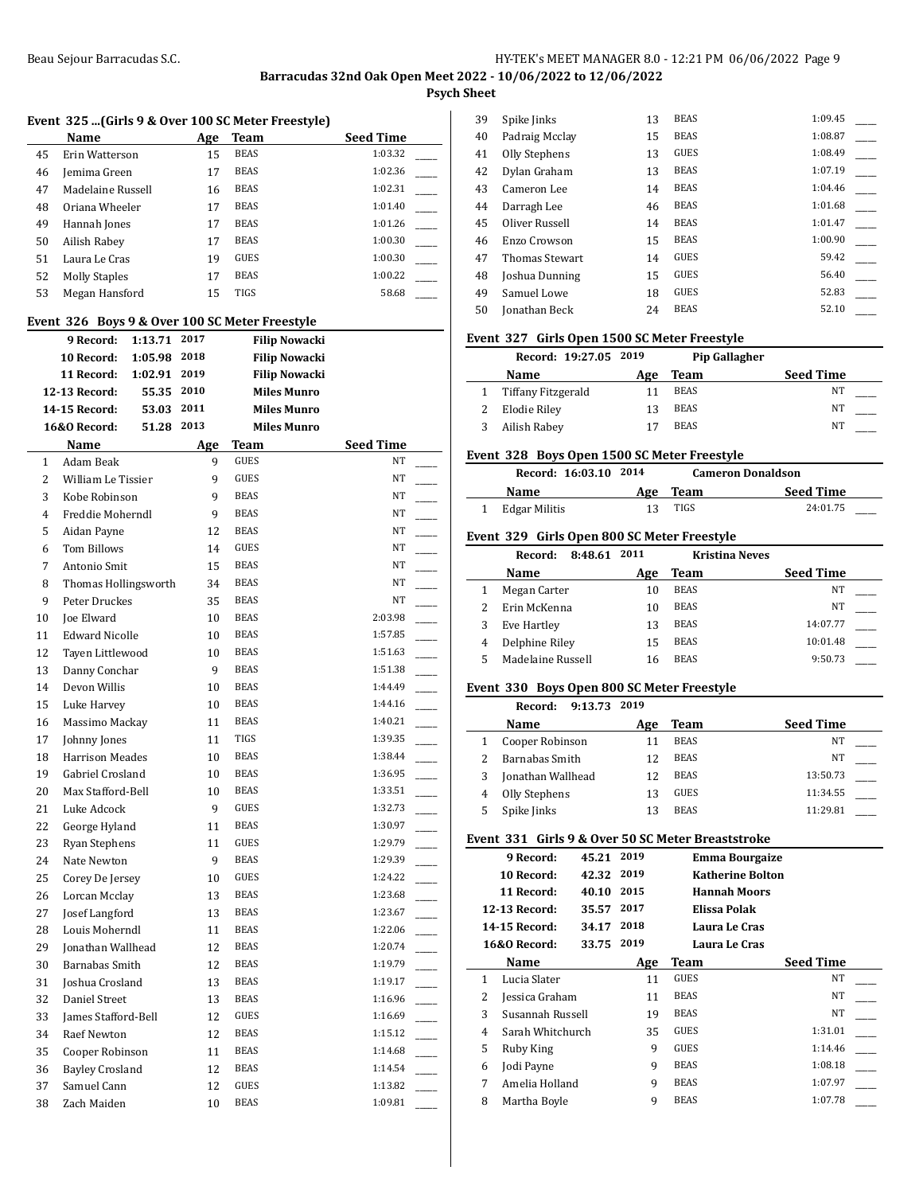$\overline{a}$ 

 $\mathbf{r}$ 

**Psych Sheet**

|  |  |  |  |  |  |  |  | Event  325 (Girls 9 & Over 100 SC Meter Freestyle) |  |
|--|--|--|--|--|--|--|--|----------------------------------------------------|--|
|--|--|--|--|--|--|--|--|----------------------------------------------------|--|

|    | Name                 | Age | Team        | <b>Seed Time</b> |
|----|----------------------|-----|-------------|------------------|
| 45 | Erin Watterson       | 15  | <b>BEAS</b> | 1:03.32          |
| 46 | Jemima Green         | 17  | <b>BEAS</b> | 1:02.36          |
| 47 | Madelaine Russell    | 16  | <b>BEAS</b> | 1:02.31          |
| 48 | Oriana Wheeler       | 17  | <b>BEAS</b> | 1:01.40          |
| 49 | Hannah Jones         | 17  | <b>BEAS</b> | 1:01.26          |
| 50 | Ailish Rabey         | 17  | <b>BEAS</b> | 1:00.30          |
| 51 | Laura Le Cras        | 19  | <b>GUES</b> | 1:00.30          |
| 52 | <b>Molly Staples</b> | 17  | <b>BEAS</b> | 1:00.22          |
| 53 | Megan Hansford       | 15  | TIGS        | 58.68            |

#### **Event 326 Boys 9 & Over 100 SC Meter Freestyle**

|              | $\frac{1}{2}$ and $\frac{1}{2}$ boys $\frac{1}{2}$ as over 100 sc meter ricestyle | 2017 |                                            |                        |  |
|--------------|-----------------------------------------------------------------------------------|------|--------------------------------------------|------------------------|--|
|              | 9 Record:<br>1:13.71<br>10 Record:                                                | 2018 | <b>Filip Nowacki</b>                       |                        |  |
|              | 1:05.98                                                                           | 2019 | <b>Filip Nowacki</b>                       |                        |  |
|              | 1:02.91<br>11 Record:<br>55.35 2010<br>12-13 Record:                              |      | <b>Filip Nowacki</b><br><b>Miles Munro</b> |                        |  |
|              | 14-15 Record:<br>53.03                                                            | 2011 | <b>Miles Munro</b>                         |                        |  |
|              | <b>16&amp;0 Record:</b><br>51.28                                                  | 2013 | <b>Miles Munro</b>                         |                        |  |
|              |                                                                                   |      |                                            |                        |  |
|              | Name<br><b>Adam Beak</b>                                                          | Age  | Team<br><b>GUES</b>                        | <b>Seed Time</b><br>NT |  |
| $\mathbf{1}$ |                                                                                   | 9    |                                            |                        |  |
| 2            | William Le Tissier                                                                | 9    | GUES                                       | NΤ                     |  |
| 3            | Kobe Robinson                                                                     | 9    | <b>BEAS</b><br><b>BEAS</b>                 | NT                     |  |
| 4            | Freddie Moherndl                                                                  | 9    |                                            | NT                     |  |
| 5            | Aidan Payne                                                                       | 12   | <b>BEAS</b>                                | NT                     |  |
| 6            | <b>Tom Billows</b>                                                                | 14   | GUES                                       | NT                     |  |
| 7            | Antonio Smit                                                                      | 15   | <b>BEAS</b>                                | NT                     |  |
| 8            | Thomas Hollingsworth                                                              | 34   | <b>BEAS</b>                                | NT                     |  |
| 9            | Peter Druckes                                                                     | 35   | <b>BEAS</b>                                | NT                     |  |
| 10           | Joe Elward                                                                        | 10   | <b>BEAS</b>                                | 2:03.98                |  |
| 11           | <b>Edward Nicolle</b>                                                             | 10   | <b>BEAS</b>                                | 1:57.85                |  |
| 12           | Tayen Littlewood                                                                  | 10   | <b>BEAS</b>                                | 1:51.63                |  |
| 13           | Danny Conchar                                                                     | 9    | <b>BEAS</b>                                | 1:51.38                |  |
| 14           | Devon Willis                                                                      | 10   | <b>BEAS</b>                                | 1:44.49                |  |
| 15           | Luke Harvey                                                                       | 10   | <b>BEAS</b>                                | 1:44.16                |  |
| 16           | Massimo Mackay                                                                    | 11   | <b>BEAS</b>                                | 1:40.21                |  |
| 17           | Johnny Jones                                                                      | 11   | <b>TIGS</b>                                | 1:39.35                |  |
| 18           | <b>Harrison Meades</b>                                                            | 10   | <b>BEAS</b>                                | 1:38.44                |  |
| 19           | Gabriel Crosland                                                                  | 10   | <b>BEAS</b>                                | 1:36.95                |  |
| 20           | Max Stafford-Bell                                                                 | 10   | <b>BEAS</b>                                | 1:33.51                |  |
| 21           | Luke Adcock                                                                       | 9    | <b>GUES</b>                                | 1:32.73                |  |
| 22           | George Hyland                                                                     | 11   | <b>BEAS</b>                                | 1:30.97                |  |
| 23           | <b>Ryan Stephens</b>                                                              | 11   | GUES                                       | 1:29.79                |  |
| 24           | Nate Newton                                                                       | 9    | <b>BEAS</b>                                | 1:29.39                |  |
| 25           | Corey De Jersey                                                                   | 10   | GUES                                       | 1:24.22                |  |
| 26           | Lorcan Mcclay                                                                     | 13   | <b>BEAS</b>                                | 1:23.68                |  |
| 27           | Josef Langford                                                                    | 13   | <b>BEAS</b>                                | 1:23.67                |  |
| 28           | Louis Moherndl                                                                    | 11   | <b>BEAS</b>                                | 1:22.06                |  |
| 29           | Jonathan Wallhead                                                                 | 12   | <b>BEAS</b>                                | 1:20.74                |  |
| 30           | Barnabas Smith                                                                    | 12   | <b>BEAS</b>                                | 1:19.79                |  |
| 31           | Joshua Crosland                                                                   | 13   | <b>BEAS</b>                                | 1:19.17                |  |
| 32           | Daniel Street                                                                     | 13   | <b>BEAS</b>                                | 1:16.96                |  |
| 33           | James Stafford-Bell                                                               | 12   | <b>GUES</b>                                | 1:16.69                |  |
| 34           | Raef Newton                                                                       | 12   | <b>BEAS</b>                                | 1:15.12                |  |
| 35           | Cooper Robinson                                                                   | 11   | BEAS                                       | 1:14.68                |  |
| 36           | <b>Bayley Crosland</b>                                                            | 12   | <b>BEAS</b>                                | 1:14.54                |  |
| 37           | Samuel Cann                                                                       | 12   | GUES                                       | 1:13.82                |  |
| 38           | Zach Maiden                                                                       | 10   | <b>BEAS</b>                                | 1:09.81                |  |

| 39 | Spike Jinks           | 13 | <b>BEAS</b> | 1:09.45 |  |
|----|-----------------------|----|-------------|---------|--|
| 40 | Padraig Mcclay        | 15 | <b>BEAS</b> | 1:08.87 |  |
| 41 | Olly Stephens         | 13 | <b>GUES</b> | 1:08.49 |  |
| 42 | Dylan Graham          | 13 | <b>BEAS</b> | 1:07.19 |  |
| 43 | Cameron Lee           | 14 | <b>BEAS</b> | 1:04.46 |  |
| 44 | Darragh Lee           | 46 | <b>BEAS</b> | 1:01.68 |  |
| 45 | Oliver Russell        | 14 | <b>BEAS</b> | 1:01.47 |  |
| 46 | Enzo Crowson          | 15 | <b>BEAS</b> | 1:00.90 |  |
| 47 | <b>Thomas Stewart</b> | 14 | <b>GUES</b> | 59.42   |  |
| 48 | Joshua Dunning        | 15 | <b>GUES</b> | 56.40   |  |
| 49 | Samuel Lowe           | 18 | <b>GUES</b> | 52.83   |  |
| 50 | Jonathan Beck         | 24 | <b>BEAS</b> | 52.10   |  |
|    |                       |    |             |         |  |

#### **Event 327 Girls Open 1500 SC Meter Freestyle**

| Record: 19:27.05 2019 |     |             | Pip Gallagher    |  |
|-----------------------|-----|-------------|------------------|--|
| <b>Name</b>           | Age | Team        | <b>Seed Time</b> |  |
| Tiffany Fitzgerald    |     | <b>BEAS</b> | NT               |  |
| Elodie Riley          | 13  | <b>BEAS</b> | NΤ               |  |
| Ailish Rabey          |     | <b>BEAS</b> | NΤ               |  |

#### **Event 328 Boys Open 1500 SC Meter Freestyle**

| Record: 16:03.10 2014 |     |             | <b>Cameron Donaldson</b> |
|-----------------------|-----|-------------|--------------------------|
| Name                  | Age | <b>Team</b> | <b>Seed Time</b>         |
| Edgar Militis         | 13  | TIGS        | 24:01.75                 |

#### **Event 329 Girls Open 800 SC Meter Freestyle**

|   | 8:48.61<br>Record: | 2011 | <b>Kristina Neves</b> |                  |  |
|---|--------------------|------|-----------------------|------------------|--|
|   | <b>Name</b>        | Age  | Team                  | <b>Seed Time</b> |  |
|   | Megan Carter       | 10   | <b>BEAS</b>           | <b>NT</b>        |  |
|   | Erin McKenna       | 10   | <b>BEAS</b>           | NT               |  |
| 3 | Eve Hartley        | 13   | <b>BEAS</b>           | 14:07.77         |  |
| 4 | Delphine Riley     | 15   | <b>BEAS</b>           | 10:01.48         |  |
|   | Madelaine Russell  | 16   | <b>BEAS</b>           | 9:50.73          |  |
|   |                    |      |                       |                  |  |

## **Event 330 Boys Open 800 SC Meter Freestyle**

| 9:13.73 2019<br>Record: |     |             |                  |
|-------------------------|-----|-------------|------------------|
| Name                    | Age | Team        | <b>Seed Time</b> |
| Cooper Robinson         |     | <b>BEAS</b> | NT               |
| Barnabas Smith          | 12  | <b>BEAS</b> | NT               |
| Jonathan Wallhead       | 12  | <b>BEAS</b> | 13:50.73         |
| Olly Stephens           | 13  | GUES        | 11:34.55         |
| Spike Jinks             | 13  | <b>BEAS</b> | 11:29.81         |

#### **Event 331 Girls 9 & Over 50 SC Meter Breaststroke**

|   | 9 Record:        | 45.21      | 2019 |                     | <b>Emma Bourgaize</b>   |
|---|------------------|------------|------|---------------------|-------------------------|
|   | 10 Record:       | 42.32 2019 |      |                     | <b>Katherine Bolton</b> |
|   | 11 Record:       | 40.10      | 2015 | <b>Hannah Moors</b> |                         |
|   | 12-13 Record:    | 35.57      | 2017 | Elissa Polak        |                         |
|   | 14-15 Record:    | 34.17      | 2018 | Laura Le Cras       |                         |
|   | 16&0 Record:     | 33.75 2019 |      | Laura Le Cras       |                         |
|   | Name             |            | Age  | Team                | <b>Seed Time</b>        |
| 1 | Lucia Slater     |            | 11   | GUES                | NT                      |
| 2 | Jessica Graham   |            | 11   | <b>BEAS</b>         | NT                      |
| 3 | Susannah Russell |            | 19   | <b>BEAS</b>         | NT                      |
| 4 | Sarah Whitchurch |            | 35   | GUES                | 1:31.01                 |
| 5 | Ruby King        |            | 9    | GUES                | 1:14.46                 |
| 6 | Jodi Payne       |            | 9    | <b>BEAS</b>         | 1:08.18                 |
| 7 | Amelia Holland   |            | 9    | <b>BEAS</b>         | 1:07.97                 |
| 8 | Martha Boyle     |            | 9    | <b>BEAS</b>         | 1:07.78                 |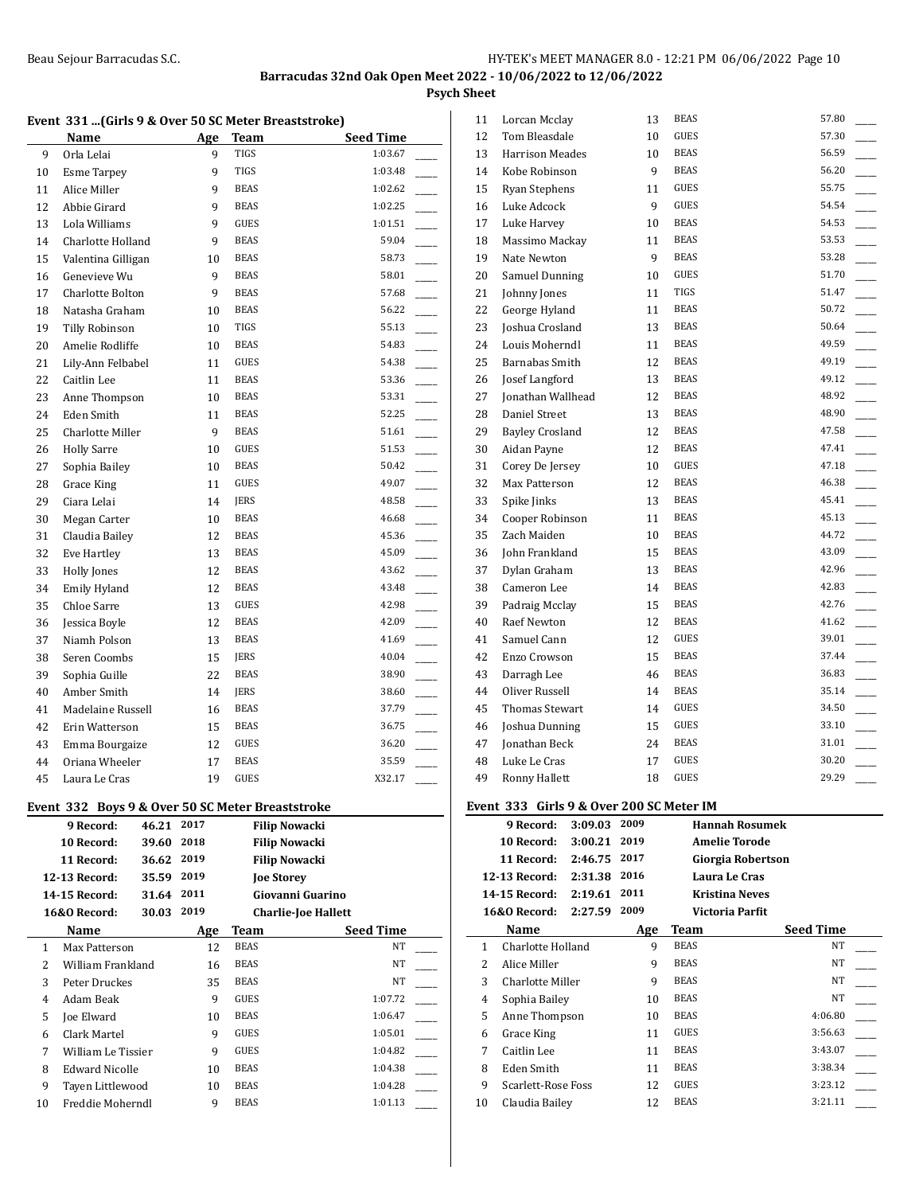## **Psych Sheet**

| Event 331  (Girls 9 & Over 50 SC Meter Breaststroke) |          |                  |
|------------------------------------------------------|----------|------------------|
| Name                                                 | Age Team | <b>Seed Time</b> |

| 9              | Orla Lelai                                       |            | 9                   | TIGS                       | 1:03.67                    |                          |
|----------------|--------------------------------------------------|------------|---------------------|----------------------------|----------------------------|--------------------------|
| 10             | <b>Esme Tarpey</b>                               |            | 9                   | TIGS                       | 1:03.48                    |                          |
| 11             | Alice Miller                                     |            | 9                   | <b>BEAS</b>                | 1:02.62                    |                          |
| 12             | Abbie Girard                                     |            | 9                   | <b>BEAS</b>                | 1:02.25                    |                          |
| 13             | Lola Williams                                    |            | 9                   | GUES                       | 1:01.51                    |                          |
| 14             | Charlotte Holland                                |            | 9                   | <b>BEAS</b>                | 59.04                      |                          |
| 15             | Valentina Gilligan                               |            | 10                  | <b>BEAS</b>                | 58.73                      | $\overline{\phantom{a}}$ |
| 16             | Genevieve Wu                                     |            | 9                   | <b>BEAS</b>                | 58.01                      |                          |
| 17             | Charlotte Bolton                                 |            | 9                   | <b>BEAS</b>                | 57.68                      |                          |
| 18             | Natasha Graham                                   |            | 10                  | <b>BEAS</b>                | 56.22                      | $\overline{\phantom{a}}$ |
| 19             | Tilly Robinson                                   |            | 10                  | TIGS                       | 55.13                      |                          |
| 20             | Amelie Rodliffe                                  |            | 10                  | <b>BEAS</b>                | 54.83                      | $\overline{\phantom{a}}$ |
| 21             | Lily-Ann Felbabel                                |            | 11                  | <b>GUES</b>                | 54.38                      | $\overline{\phantom{a}}$ |
| 22             | Caitlin Lee                                      |            | 11                  | BEAS                       | 53.36                      |                          |
| 23             | Anne Thompson                                    |            | 10                  | <b>BEAS</b>                | 53.31                      |                          |
| 24             | Eden Smith                                       |            | 11                  | <b>BEAS</b>                | 52.25                      | $\overline{\phantom{a}}$ |
| 25             | Charlotte Miller                                 |            | 9                   | BEAS                       | 51.61                      | $\mathcal{L}$            |
| 26             | <b>Holly Sarre</b>                               |            | 10                  | <b>GUES</b>                | 51.53                      |                          |
| 27             |                                                  |            | 10                  | <b>BEAS</b>                | 50.42                      | $\overline{\phantom{a}}$ |
|                | Sophia Bailey                                    |            |                     | GUES                       | 49.07                      |                          |
| 28             | Grace King                                       |            | 11                  |                            | 48.58                      |                          |
| 29             | Ciara Lelai                                      |            | 14                  | JERS                       |                            |                          |
| 30             | Megan Carter                                     |            | 10                  | <b>BEAS</b><br><b>BEAS</b> | 46.68                      | $\overline{\phantom{a}}$ |
| 31             | Claudia Bailey                                   |            | 12                  |                            | 45.36                      |                          |
| 32             | Eve Hartley                                      |            | 13                  | <b>BEAS</b>                | 45.09                      | $\overline{\phantom{a}}$ |
| 33             | <b>Holly Jones</b>                               |            | 12                  | <b>BEAS</b>                | 43.62                      |                          |
| 34             | Emily Hyland                                     |            | 12                  | BEAS                       | 43.48                      |                          |
| 35             | Chloe Sarre                                      |            | 13                  | <b>GUES</b>                | 42.98                      |                          |
| 36             | Jessica Boyle                                    |            | 12                  | <b>BEAS</b>                | 42.09                      |                          |
| 37             | Niamh Polson                                     |            | 13                  | BEAS                       | 41.69                      |                          |
| 38             | Seren Coombs                                     |            | 15                  | JERS                       | 40.04                      |                          |
| 39             | Sophia Guille                                    |            | 22                  | <b>BEAS</b>                | 38.90                      | $\overline{a}$           |
| 40             | Amber Smith                                      |            | 14                  | JERS                       | 38.60                      |                          |
| 41             | Madelaine Russell                                |            | 16                  | <b>BEAS</b>                | 37.79                      |                          |
| 42             | Erin Watterson                                   |            | 15                  | <b>BEAS</b>                | 36.75                      |                          |
| 43             | Emma Bourgaize                                   |            | 12                  | GUES                       | 36.20                      |                          |
| 44             | Oriana Wheeler                                   |            | 17                  | <b>BEAS</b>                | 35.59                      |                          |
| 45             | Laura Le Cras                                    |            | 19                  | GUES                       | X32.17                     |                          |
|                | Event 332 Boys 9 & Over 50 SC Meter Breaststroke |            |                     |                            |                            |                          |
|                | 9 Record:                                        | 46.21      | 2017<br>2018        |                            | <b>Filip Nowacki</b>       |                          |
|                | 10 Record:                                       | 39.60      |                     |                            | <b>Filip Nowacki</b>       |                          |
|                | 11 Record:                                       | 36.62      | 2019                |                            | <b>Filip Nowacki</b>       |                          |
|                | 12-13 Record:                                    | 35.59 2019 |                     |                            | <b>Joe Storey</b>          |                          |
|                | 14-15 Record:                                    | 31.64 2011 |                     |                            | Giovanni Guarino           |                          |
|                | <b>16&amp;0 Record:</b>                          | 30.03      | 2019                |                            | <b>Charlie-Joe Hallett</b> |                          |
| Name           |                                                  | Age        | Team<br><b>BEAS</b> | <b>Seed Time</b>           |                            |                          |
|                | 1<br>Max Patterson                               |            | 12                  |                            | NT                         |                          |
| $\overline{2}$ | William Frankland                                |            | 16                  | <b>BEAS</b>                | NT                         |                          |
| 3              | Peter Druckes                                    |            | 35                  | BEAS                       | NT                         |                          |
| 4              | Adam Beak                                        |            | 9                   | GUES                       | 1:07.72                    |                          |
| 5              | Joe Elward                                       |            | 10                  | <b>BEAS</b>                | 1:06.47                    |                          |
| 6              | Clark Martel                                     |            | 9                   | GUES                       | 1:05.01                    |                          |
| 7              | William Le Tissier                               |            | 9                   | GUES                       | 1:04.82                    |                          |
| 8              | <b>Edward Nicolle</b>                            |            | 10                  | <b>BEAS</b>                | 1:04.38                    |                          |

9 Tayen Littlewood 10 BEAS 1:04.28 10 Freddie Moherndl 9 BEAS 1:01.13

| 11 | Lorcan Mcclay                               |              | 13 | <b>BEAS</b>           | 57.80 |
|----|---------------------------------------------|--------------|----|-----------------------|-------|
| 12 | Tom Bleasdale                               |              | 10 | <b>GUES</b>           | 57.30 |
| 13 | <b>Harrison Meades</b>                      |              | 10 | <b>BEAS</b>           | 56.59 |
| 14 | Kobe Robinson                               |              | 9  | <b>BEAS</b>           | 56.20 |
| 15 | Ryan Stephens                               |              | 11 | <b>GUES</b>           | 55.75 |
| 16 | Luke Adcock                                 |              | 9  | <b>GUES</b>           | 54.54 |
| 17 | Luke Harvey                                 |              | 10 | <b>BEAS</b>           | 54.53 |
| 18 | Massimo Mackay                              |              | 11 | <b>BEAS</b>           | 53.53 |
| 19 | Nate Newton                                 |              | 9  | <b>BEAS</b>           | 53.28 |
| 20 | Samuel Dunning                              |              | 10 | <b>GUES</b>           | 51.70 |
| 21 | Johnny Jones                                |              | 11 | <b>TIGS</b>           | 51.47 |
| 22 | George Hyland                               |              | 11 | <b>BEAS</b>           | 50.72 |
| 23 | Joshua Crosland                             |              | 13 | <b>BEAS</b>           | 50.64 |
| 24 | Louis Moherndl                              |              | 11 | <b>BEAS</b>           | 49.59 |
| 25 | Barnabas Smith                              |              | 12 | <b>BEAS</b>           | 49.19 |
| 26 | Josef Langford                              |              | 13 | <b>BEAS</b>           | 49.12 |
| 27 | Jonathan Wallhead                           |              | 12 | <b>BEAS</b>           | 48.92 |
| 28 | Daniel Street                               |              | 13 | <b>BEAS</b>           | 48.90 |
| 29 | <b>Bayley Crosland</b>                      |              | 12 | <b>BEAS</b>           | 47.58 |
| 30 | Aidan Payne                                 |              | 12 | <b>BEAS</b>           | 47.41 |
| 31 | Corey De Jersey                             |              | 10 | <b>GUES</b>           | 47.18 |
| 32 | Max Patterson                               |              | 12 | <b>BEAS</b>           | 46.38 |
| 33 | Spike Jinks                                 |              | 13 | <b>BEAS</b>           | 45.41 |
| 34 | Cooper Robinson                             |              | 11 | <b>BEAS</b>           | 45.13 |
| 35 | Zach Maiden                                 |              | 10 | <b>BEAS</b>           | 44.72 |
| 36 | John Frankland                              |              | 15 | <b>BEAS</b>           | 43.09 |
| 37 | Dylan Graham                                |              | 13 | <b>BEAS</b>           | 42.96 |
| 38 | Cameron Lee                                 |              | 14 | <b>BEAS</b>           | 42.83 |
| 39 | Padraig Mcclay                              |              | 15 | <b>BEAS</b>           | 42.76 |
| 40 | Raef Newton                                 |              | 12 | <b>BEAS</b>           | 41.62 |
| 41 | Samuel Cann                                 |              | 12 | <b>GUES</b>           | 39.01 |
| 42 | Enzo Crowson                                |              | 15 | <b>BEAS</b>           | 37.44 |
| 43 | Darragh Lee                                 |              | 46 | <b>BEAS</b>           | 36.83 |
| 44 | Oliver Russell                              |              | 14 | <b>BEAS</b>           | 35.14 |
| 45 | Thomas Stewart                              |              | 14 | <b>GUES</b>           | 34.50 |
| 46 | Joshua Dunning                              |              | 15 | <b>GUES</b>           | 33.10 |
| 47 | <b>Ionathan Beck</b>                        |              | 24 | <b>BEAS</b>           | 31.01 |
| 48 | Luke Le Cras                                |              | 17 | <b>GUES</b>           | 30.20 |
| 49 | Ronny Hallett                               |              | 18 | <b>GUES</b>           | 29.29 |
|    | Event  333   Girls 9 & Over 200 SC Meter IM |              |    |                       |       |
|    | 9 Record:                                   | 3:09.03 2009 |    | <b>Hannah Rosumek</b> |       |
|    | 10 Record:                                  | 3:00.21 2019 |    | Amelie Torode         |       |
|    | 11 Record:                                  | 2:46.75 2017 |    | Giorgia Robertson     |       |
|    | 12-13 Record:                               | 2:31.38 2016 |    | Laura Le Cras         |       |
|    | 14-15 Record:                               | 2:19.61 2011 |    | <b>Kristina Neves</b> |       |
|    | 16&0 Record: 2:27.59 2009                   |              |    | Victoria Parfit       |       |

|    | 2:27.59<br><b>16&amp;0 Record:</b> | 2009 | Victoria Parfit |                  |
|----|------------------------------------|------|-----------------|------------------|
|    | Name                               | Age  | Team            | <b>Seed Time</b> |
| 1  | Charlotte Holland                  | 9    | <b>BEAS</b>     | NT               |
| 2  | Alice Miller                       | 9    | <b>BEAS</b>     | NT               |
| 3  | Charlotte Miller                   | 9    | <b>BEAS</b>     | NT               |
| 4  | Sophia Bailey                      | 10   | <b>BEAS</b>     | <b>NT</b>        |
| 5  | Anne Thompson                      | 10   | <b>BEAS</b>     | 4:06.80          |
| 6  | Grace King                         | 11   | GUES            | 3:56.63          |
| 7  | Caitlin Lee                        | 11   | <b>BEAS</b>     | 3:43.07          |
| 8  | Eden Smith                         | 11   | <b>BEAS</b>     | 3:38.34          |
| 9  | Scarlett-Rose Foss                 | 12   | <b>GUES</b>     | 3:23.12          |
| 10 | Claudia Bailey                     | 12   | <b>BEAS</b>     | 3:21.11          |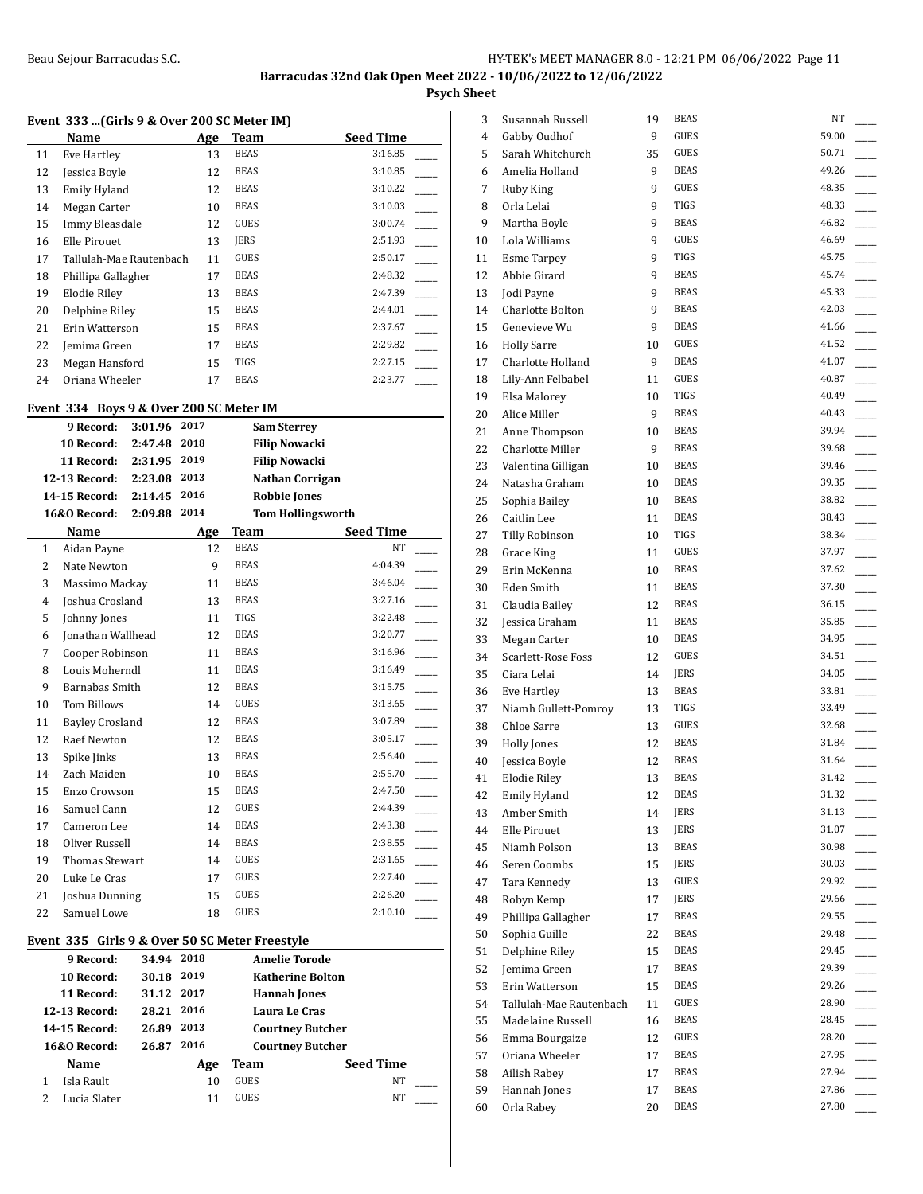**Psych Sheet**

 $\overline{\phantom{a}}$ 

## **Event 333 ...(Girls 9 & Over 200 SC Meter IM)**

|    | Name                    | Age | Team        | <b>Seed Time</b> |
|----|-------------------------|-----|-------------|------------------|
| 11 | Eve Hartley             | 13  | <b>BEAS</b> | 3:16.85          |
| 12 | Jessica Boyle           | 12  | <b>BEAS</b> | 3:10.85          |
| 13 | Emily Hyland            | 12  | <b>BEAS</b> | 3:10.22          |
| 14 | Megan Carter            | 10  | <b>BEAS</b> | 3:10.03          |
| 15 | Immy Bleasdale          | 12  | <b>GUES</b> | 3:00.74          |
| 16 | Elle Pirouet            | 13  | <b>IERS</b> | 2:51.93          |
| 17 | Tallulah-Mae Rautenbach | 11  | <b>GUES</b> | 2:50.17          |
| 18 | Phillipa Gallagher      | 17  | <b>BEAS</b> | 2:48.32          |
| 19 | Elodie Riley            | 13  | <b>BEAS</b> | 2:47.39          |
| 20 | Delphine Riley          | 15  | BEAS        | 2:44.01          |
| 21 | Erin Watterson          | 15  | <b>BEAS</b> | 2:37.67          |
| 22 | Jemima Green            | 17  | <b>BEAS</b> | 2:29.82          |
| 23 | Megan Hansford          | 15  | <b>TIGS</b> | 2:27.15          |
| 24 | Oriana Wheeler          | 17  | <b>BEAS</b> | 2:23.77          |

## **Event 334 Boys 9 & Over 200 SC Meter IM**

|                | 9 Record:<br>3:01.96               | 2017 |             | <b>Sam Sterrey</b>       |  |
|----------------|------------------------------------|------|-------------|--------------------------|--|
|                | 10 Record:<br>2:47.48              | 2018 |             | <b>Filip Nowacki</b>     |  |
|                | 11 Record:<br>2:31.95              | 2019 |             | <b>Filip Nowacki</b>     |  |
|                | 12-13 Record:<br>2:23.08           | 2013 |             | Nathan Corrigan          |  |
|                | 14-15 Record:<br>2:14.45           | 2016 |             | <b>Robbie Jones</b>      |  |
|                | <b>16&amp;0 Record:</b><br>2:09.88 | 2014 |             | <b>Tom Hollingsworth</b> |  |
|                | Name                               | Age  | <b>Team</b> | <b>Seed Time</b>         |  |
| $\mathbf{1}$   | Aidan Payne                        | 12   | <b>BEAS</b> | <b>NT</b>                |  |
| $\overline{c}$ | Nate Newton                        | 9    | <b>BEAS</b> | 4:04.39                  |  |
| 3              | Massimo Mackay                     | 11   | <b>BEAS</b> | 3:46.04                  |  |
| $\overline{4}$ | Joshua Crosland                    | 13   | <b>BEAS</b> | 3:27.16                  |  |
| 5              | Johnny Jones                       | 11   | <b>TIGS</b> | 3:22.48                  |  |
| 6              | Jonathan Wallhead                  | 12   | <b>BEAS</b> | 3:20.77                  |  |
| 7              | Cooper Robinson                    | 11   | <b>BEAS</b> | 3:16.96                  |  |
| 8              | Louis Moherndl                     | 11   | <b>BEAS</b> | 3:16.49                  |  |
| 9              | <b>Barnabas Smith</b>              | 12   | <b>BEAS</b> | 3:15.75                  |  |
| 10             | <b>Tom Billows</b>                 | 14   | <b>GUES</b> | 3:13.65                  |  |
| 11             | <b>Bayley Crosland</b>             | 12   | <b>BEAS</b> | 3:07.89                  |  |
| 12             | Raef Newton                        | 12   | <b>BEAS</b> | 3:05.17                  |  |
| 13             | Spike Jinks                        | 13   | <b>BEAS</b> | 2:56.40                  |  |
| 14             | Zach Maiden                        | 10   | <b>BEAS</b> | 2:55.70                  |  |
| 15             | Enzo Crowson                       | 15   | <b>BEAS</b> | 2:47.50                  |  |
| 16             | Samuel Cann                        | 12   | <b>GUES</b> | 2:44.39                  |  |
| 17             | Cameron Lee                        | 14   | <b>BEAS</b> | 2:43.38                  |  |
| 18             | Oliver Russell                     | 14   | <b>BEAS</b> | 2:38.55                  |  |
| 19             | <b>Thomas Stewart</b>              | 14   | <b>GUES</b> | 2:31.65                  |  |
| 20             | Luke Le Cras                       | 17   | <b>GUES</b> | 2:27.40                  |  |
| 21             | Joshua Dunning                     | 15   | <b>GUES</b> | 2:26.20                  |  |
| 22             | Samuel Lowe                        | 18   | <b>GUES</b> | 2:10.10                  |  |

## **Event 335 Girls 9 & Over 50 SC Meter Freestyle**

| 34.94 | 2018 |                         | <b>Amelie Torode</b>    |
|-------|------|-------------------------|-------------------------|
| 30.18 | 2019 |                         | <b>Katherine Bolton</b> |
|       |      |                         | <b>Hannah Jones</b>     |
|       | 2016 |                         | Laura Le Cras           |
| 26.89 | 2013 |                         | <b>Courtney Butcher</b> |
| 26.87 | 2016 | <b>Courtney Butcher</b> |                         |
|       | Age  | Team                    | <b>Seed Time</b>        |
|       | 10   | <b>GUES</b>             | NT                      |
|       | 11   | <b>GUES</b>             | NT                      |
|       |      | 31.12 2017<br>28.21     |                         |

| 3  | Susannah Russell        | 19 | <b>BEAS</b> | NT    |
|----|-------------------------|----|-------------|-------|
| 4  | Gabby Oudhof            | 9  | <b>GUES</b> | 59.00 |
| 5  | Sarah Whitchurch        | 35 | GUES        | 50.71 |
| 6  | Amelia Holland          | 9  | <b>BEAS</b> | 49.26 |
| 7  | Ruby King               | 9  | <b>GUES</b> | 48.35 |
| 8  | Orla Lelai              | 9  | TIGS        | 48.33 |
| 9  | Martha Boyle            | 9  | <b>BEAS</b> | 46.82 |
| 10 | Lola Williams           | 9  | <b>GUES</b> | 46.69 |
| 11 | <b>Esme Tarpey</b>      | 9  | TIGS        | 45.75 |
| 12 | Abbie Girard            | 9  | <b>BEAS</b> | 45.74 |
| 13 | <b>Jodi Payne</b>       | 9  | <b>BEAS</b> | 45.33 |
| 14 | Charlotte Bolton        | 9  | <b>BEAS</b> | 42.03 |
| 15 | Genevieve Wu            | 9  | <b>BEAS</b> | 41.66 |
| 16 | <b>Holly Sarre</b>      | 10 | <b>GUES</b> | 41.52 |
| 17 | Charlotte Holland       | 9  | <b>BEAS</b> | 41.07 |
| 18 | Lily-Ann Felbabel       | 11 | GUES        | 40.87 |
| 19 | Elsa Malorey            | 10 | TIGS        | 40.49 |
| 20 | Alice Miller            | 9  | <b>BEAS</b> | 40.43 |
| 21 | Anne Thompson           | 10 | <b>BEAS</b> | 39.94 |
| 22 | Charlotte Miller        | 9  | <b>BEAS</b> | 39.68 |
| 23 | Valentina Gilligan      | 10 | <b>BEAS</b> | 39.46 |
| 24 | Natasha Graham          | 10 | <b>BEAS</b> | 39.35 |
| 25 | Sophia Bailey           | 10 | <b>BEAS</b> | 38.82 |
| 26 | Caitlin Lee             | 11 | <b>BEAS</b> | 38.43 |
| 27 | Tilly Robinson          | 10 | <b>TIGS</b> | 38.34 |
| 28 | <b>Grace King</b>       | 11 | <b>GUES</b> | 37.97 |
| 29 | Erin McKenna            | 10 | <b>BEAS</b> | 37.62 |
| 30 | Eden Smith              | 11 | <b>BEAS</b> | 37.30 |
| 31 | Claudia Bailey          | 12 | <b>BEAS</b> | 36.15 |
| 32 | Jessica Graham          | 11 | <b>BEAS</b> | 35.85 |
| 33 | Megan Carter            | 10 | <b>BEAS</b> | 34.95 |
| 34 | Scarlett-Rose Foss      | 12 | <b>GUES</b> | 34.51 |
| 35 | Ciara Lelai             | 14 | JERS        | 34.05 |
| 36 | Eve Hartley             | 13 | <b>BEAS</b> | 33.81 |
| 37 | Niamh Gullett-Pomroy    | 13 | <b>TIGS</b> | 33.49 |
| 38 | Chloe Sarre             | 13 | <b>GUES</b> | 32.68 |
| 39 | Holly Jones             | 12 | <b>BEAS</b> | 31.84 |
| 40 | Jessica Boyle           | 12 | <b>BEAS</b> | 31.64 |
| 41 | <b>Elodie Riley</b>     | 13 | <b>BEAS</b> | 31.42 |
| 42 | Emily Hyland            | 12 | <b>BEAS</b> | 31.32 |
| 43 | Amber Smith             | 14 | JERS        | 31.13 |
| 44 | <b>Elle Pirouet</b>     | 13 | JERS        | 31.07 |
| 45 | Niamh Polson            | 13 | <b>BEAS</b> | 30.98 |
| 46 | Seren Coombs            | 15 | JERS        | 30.03 |
| 47 | Tara Kennedy            | 13 | GUES        | 29.92 |
| 48 | Robyn Kemp              | 17 | JERS        | 29.66 |
| 49 | Phillipa Gallagher      | 17 | <b>BEAS</b> | 29.55 |
| 50 | Sophia Guille           | 22 | BEAS        | 29.48 |
| 51 | Delphine Riley          | 15 | BEAS        | 29.45 |
| 52 | Jemima Green            | 17 | <b>BEAS</b> | 29.39 |
| 53 | Erin Watterson          | 15 | BEAS        | 29.26 |
| 54 | Tallulah-Mae Rautenbach | 11 | GUES        | 28.90 |
| 55 | Madelaine Russell       | 16 | BEAS        | 28.45 |
| 56 | Emma Bourgaize          | 12 | GUES        | 28.20 |
| 57 | Oriana Wheeler          | 17 | BEAS        | 27.95 |
| 58 | Ailish Rabey            | 17 | <b>BEAS</b> | 27.94 |
| 59 | Hannah Jones            | 17 | BEAS        | 27.86 |
| 60 | Orla Rabey              | 20 | BEAS        | 27.80 |
|    |                         |    |             |       |